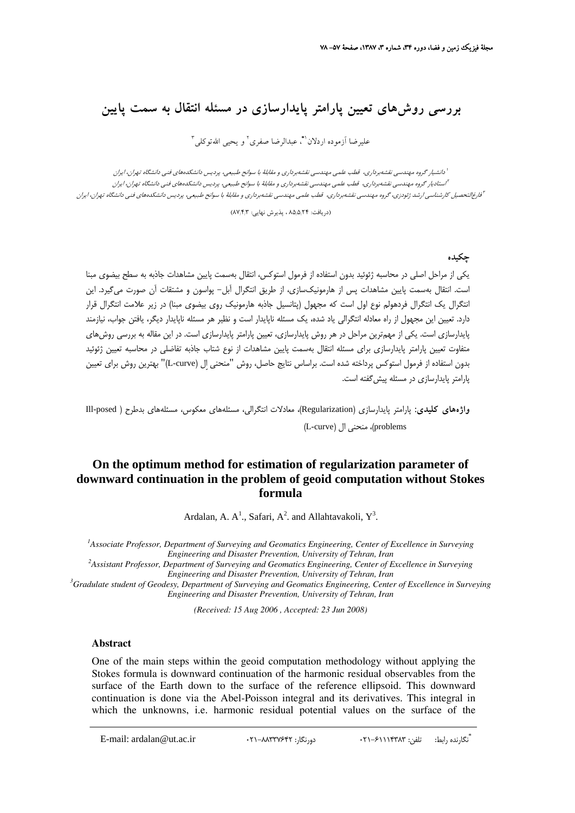# **بررسي روشهاي تعيين پارامتر پايدارسازي در مسئله انتقال به سمت پايين**

عليرضا آزموده اردلان<sup>\\*</sup>، عبدالرضا صفرى<sup>٢</sup> و يحيى اللهتوكلى<sup>٣</sup>

دانشيار گروه مهندسي نقشهبرداري، قطب علمي مهندسي نقشهبرداري <sup>و</sup> مقابلة با سوانح طبيعي، پرديس دانشكدههاي فني دانشگاه تهران، ايران <sup>1</sup> استاديار گروه مهندسي نقشهبرداري، قطب علمي مهندسي نقشهبرداري <sup>و</sup> مقابلة با سوانح طبيعي، پرديس دانشكدههاي فني دانشگاه تهران، ايران <sup>2</sup> .<br><sup>ت</sup>فارغالتحصيل كارشناسي ارشد ژئودزي، گروه مهندسي نقشهبرداري، قطب علمي مهندسي نقشهبرداري و مقابلة با سوانح طبيعي، پرديس دانشكدهاي فني دانشگاه تهران، ايران

(دريافت: ۸۵٫۵٫۲۴ ، پذيرش نهايي: ۸۷٫۴٫۳)

#### **چكيده**

يكي از مراحل اصلي در محاسبه ژئوئيد بدون استفاده از فرمول استوكس، انتقال بهسمت پايين مشاهدات جاذبه به سطح بيضوي مبنا است. انتقال بهسمت پايين مشاهدات پس از هارمونيكسازي، از طريق انتگرال آبل- پواسون و مشتقات آن صورت ميگيرد. اين انتگرال يك انتگرال فردهولم نوع اول است كه مجهول (پتانسيل جاذبه هارمونيك روي بيضوي مبنا) در زير علامت انتگرال قرار دارد. تعيين اين مجهول از راه معادله انتگرالي ياد شده، يك مسئله ناپايدار است و نظير هر مسئله ناپايدار ديگر، يافتن جواب، نيازمند پايدارسازي است. يكي از مهمترين مراحل در هر روش پايدارسازي، تعيين پارامتر پايدارسازي است. در اين مقاله به بررسي روشهاي متفاوت تعيين پارامتر پايدارسازي براي مسئله انتقال بهسمت پايين مشاهدات از نوع شتاب جاذبه تفاضلي در محاسبه تعيين ژئوئيد بدون استفاده از فرمول استوكس پرداخته شده است. براساس نتايج حاصل، روش "منحني اِل (curve-L "(بهترين روش براي تعيين پارامتر پايدارسازي در مسئله پيشگفته است.

**واژههاي كليدي:** پارامتر پايدارسازي (Regularization(، معادلات انتگرالي، مسئلههاي معكوس، مسئلههاي بدطرح ( posed-Ill (L-curve)، منحنى ال (L-curve)

## **On the optimum method for estimation of regularization parameter of downward continuation in the problem of geoid computation without Stokes formula**

Ardalan, A.  $A^1$ ., Safari,  $A^2$ . and Allahtavakoli,  $Y^3$ .

<sup>1</sup> Associate Professor, Department of Surveying and Geomatics Engineering, Center of Excellence in Surveying *Engineering and Disaster Prevention, University of Tehran, Iran <sup>2</sup>*

*Assistant Professor, Department of Surveying and Geomatics Engineering, Center of Excellence in Surveying Engineering and Disaster Prevention, University of Tehran, Iran* 

*Gradulate student of Geodesy, Department of Surveying and Geomatics Engineering, Center of Excellence in Surveying Engineering and Disaster Prevention, University of Tehran, Iran*

*(Received: 15 Aug 2006 , Accepted: 23 Jun 2008)* 

#### **Abstract**

One of the main steps within the geoid computation methodology without applying the Stokes formula is downward continuation of the harmonic residual observables from the surface of the Earth down to the surface of the reference ellipsoid. This downward continuation is done via the Abel-Poisson integral and its derivatives. This integral in which the unknowns, i.e. harmonic residual potential values on the surface of the

\* تگارنده رابط: تلفن: ۴۲۹-۶۲۹-۲۰۲۰ دورنگار: ۴۲۲-۸۸۳۳۷۶۴۲ : E-mail: ardalan@ut.ac.ir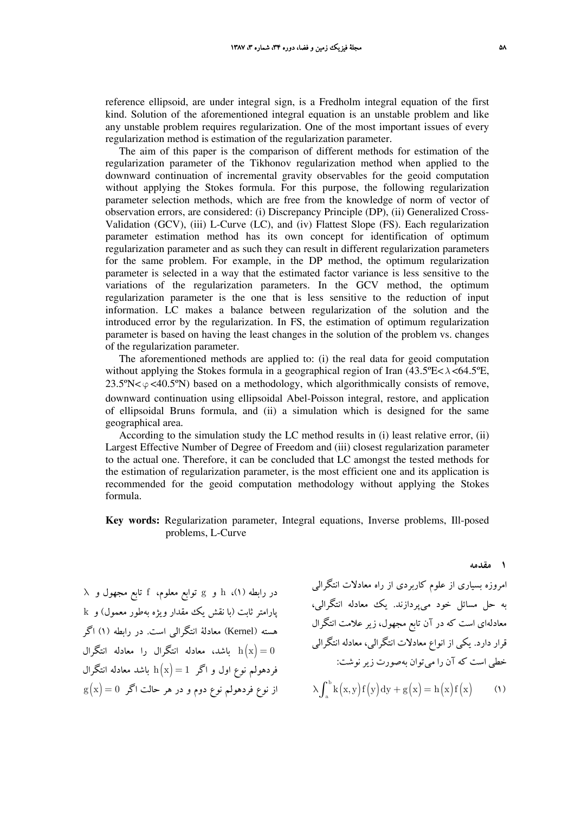reference ellipsoid, are under integral sign, is a Fredholm integral equation of the first kind. Solution of the aforementioned integral equation is an unstable problem and like any unstable problem requires regularization. One of the most important issues of every regularization method is estimation of the regularization parameter.

The aim of this paper is the comparison of different methods for estimation of the regularization parameter of the Tikhonov regularization method when applied to the downward continuation of incremental gravity observables for the geoid computation without applying the Stokes formula. For this purpose, the following regularization parameter selection methods, which are free from the knowledge of norm of vector of observation errors, are considered: (i) Discrepancy Principle (DP), (ii) Generalized Cross-Validation (GCV), (iii) L-Curve (LC), and (iv) Flattest Slope (FS). Each regularization parameter estimation method has its own concept for identification of optimum regularization parameter and as such they can result in different regularization parameters for the same problem. For example, in the DP method, the optimum regularization parameter is selected in a way that the estimated factor variance is less sensitive to the variations of the regularization parameters. In the GCV method, the optimum regularization parameter is the one that is less sensitive to the reduction of input information. LC makes a balance between regularization of the solution and the introduced error by the regularization. In FS, the estimation of optimum regularization parameter is based on having the least changes in the solution of the problem vs. changes of the regularization parameter.

The aforementioned methods are applied to: (i) the real data for geoid computation without applying the Stokes formula in a geographical region of Iran (43.5ºE<*λ* <64.5ºE,  $23.5\% < \varphi < 40.5\%$ ) based on a methodology, which algorithmically consists of remove, downward continuation using ellipsoidal Abel-Poisson integral, restore, and application of ellipsoidal Bruns formula, and (ii) a simulation which is designed for the same geographical area.

According to the simulation study the LC method results in (i) least relative error, (ii) Largest Effective Number of Degree of Freedom and (iii) closest regularization parameter to the actual one. Therefore, it can be concluded that LC amongst the tested methods for the estimation of regularization parameter, is the most efficient one and its application is recommended for the geoid computation methodology without applying the Stokes formula.

**Key words:** Regularization parameter, Integral equations, Inverse problems, Ill-posed problems, L-Curve

 $\lambda$  در رابطه (۱)، h و g توابع معلوم، f تابع مجهول و پارامتر ثابت (با نقش يك مقدار ويژه بهطور معمول) و k هسته (Kernel (معادلة انتگرالي است. در رابطه (1) اگر ا باشد، معادله انتگرال را معادله انتگرال  $\ln(x)=0$ فردهولم نوع اول و اگر  $\mathrm{h}\big(\mathrm{x}\big) = 1$  باشد معادله انتگرال  $\mathrm{g}(\mathrm{x})$ از نوع فردهولم نوع دوم و در هر حالت اگر  $\mathrm{g}(\mathrm{x})$  امروزه بسياري از علوم كاربردي از راه معادلات انتگرالي به حل مسائل خود ميپردازند. يك معادله انتگرالي، معادلهاي است كه در آن تابع مجهول، زير علامت انتگرال قرار دارد. يكي از انواع معادلات انتگرالي، معادله انتگرالي خطي است كه آن را ميتوان بهصورت زيرنوشت:  $\lambda \int_{a}^{b} k(x,y) f(y) dy + g(x) = h(x) f(x)$  (1)

**1 مقدمه**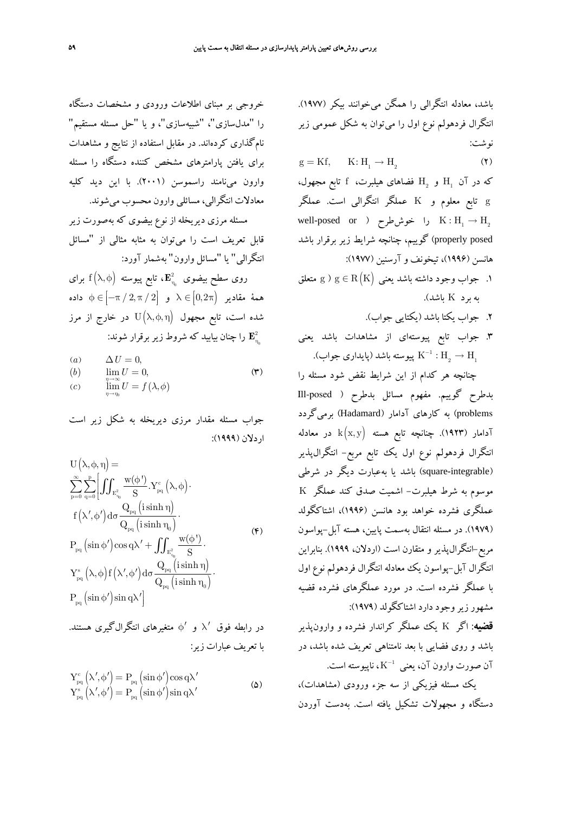باشد، معادله انتگرالي را همگن ميخوانند بيكر (1977). انتگرال فردهولم نوع اول را ميتوان به شكل عمومي زير نوشت:

 $g = Kf, \qquad K: H_1 \to H_2$  (۲)

که در آن  $\mathrm{H}_{_{2}}$  و  $\mathrm{H}_{_{2}}$  فضاهای هیلبرت،  $\mathrm{f}$  تابع مجهول، g تابع معلوم و K عملگر انتگرالي است. عملگر well-posed or ) خوش طرح  $\mathrm{K}:\mathrm{H}_1\to\mathrm{H}_2$ posed properly (گوييم، چنانچه شرايط زير برقرار باشد هانسن (1996)، تيخونف و آرسنين (1977):

- ا. جواب وجود داشته باشد يعني  $\mathrm{g}\in\mathrm{R}\left(\mathrm{K}\right)$  متعلق  $\lambda$ به برد K باشد).
	- .2 جواب يكتا باشد (يكتايي جواب).
- .3 جواب تابع پيوستهاي از مشاهدات باشد يعني پيوسته باشد (پايداري جواب).  $\rm K^{-1}: \rm H_{_2} \rightarrow \rm H_{_1}$

چنانچه هر كدام از اين شرايط نقض شود مسئله را بدطرح گوييم. مفهوم مسائل بدطرح ( posed-Ill problems (به كارهاي آدامار (Hadamard (برميگردد آدامار (۱۹۲۳). چنانچه تابع هسته  ${\rm k}\big( {\rm x,y} \big)$  در معادله انتگرال فردهولم نوع اول يك تابع مربع- انتگرالپذير (integrable-square (باشد يا بهعبارت ديگر در شرطي موسوم به شرط هيلبرت- اشميت صدق كند عملگر K عملگري فشرده خواهد بود هانسن (1996)، اشتاكگولد (1979). در مسئله انتقال بهسمت پايين، هسته آبل-پواسون مربع-انتگرالپذير و متقارن است (اردلان، 1999). بنابراين انتگرال آبل-پواسون يك معادله انتگرال فردهولم نوع اول با عملگر فشرده است. در مورد عملگرهاي فشرده قضيه مشهور زيروجود دارد اشتاكگولد (1979):

**قضيه**: اگر K يك عملگر كراندار فشرده و وارونپذير باشد و روي فضايي با بعد نامتناهي تعريف شده باشد، در ن صورت وارون آن، يعني  $\rm K^{-1}$ ، ناپيوسته است.  $\rm K^{-1}$ 

يك مسئله فيزيكي از سه جزء ورودي (مشاهدات)، دستگاه و مجهولات تشكيل يافته است. بهدست آوردن

خروجي بر مبناي اطلاعات ورودي و مشخصات دستگاه را "مدلسازي"، "شبيهسازي"، و يا "حل مسئله مستقيم" نامگذاري كردهاند. در مقابل استفاده از نتايج و مشاهدات براي يافتن پارامترهاي مشخص كننده دستگاه را مسئله وارون مينامند راسموسن (2001). با اين ديد كليه معادلات انتگرالي، مسائلي وارون محسوب ميشوند.

مسئله مرزي ديريخله از نوع بيضوي كه بهصورت زير قابل تعريف است را ميتوان به مثابه مثالي از "مسائل انتگرالي" يا "مسائل وارون" بهشمار آورد:

روی سطح بیضوی  $\mathbf{E}_{_{\eta_{_{0}}}}^{2}$ ، تابع پیوسته  $f\left( \lambda,\phi\right)$  برای ⎡ممهٔ مقادیر  $\lambda \in [0, 2\pi)$  و  $\lambda \in [-\pi/2, \pi/2]$  داده ⎢ شده است، تابع مجهول  $\mathrm{U}\big( \lambda,\phi,\eta \big)$  در خارج از مرز 0 دا چنان بيابيد كه شروط زير برقرار شوند:  ${\bf E}^2_{\scriptscriptstyle\eta}$ 

(a) 
$$
\Delta U = 0
$$
,  
\n(b)  $\lim_{\substack{n \to \infty \\ \lim_{\eta \to \eta_0}} U = 0}$ ,  $(\mathbf{w})$ 

جواب مسئله مقدار مرزي ديريخله به شكل زير است اردلان (1999):

$$
U(\lambda, \varphi, \eta) =
$$
\n
$$
\sum_{p=0}^{\infty} \sum_{q=0}^{p} \left[ \iint_{E_{\eta_0}^2} \frac{w(\varphi')}{S} Y_{pq}^c(\lambda, \varphi) \cdot \n\begin{aligned}\nf(\lambda', \varphi') d\sigma \frac{Q_{pq}(\sinh \eta)}{Q_{pq}(\sinh \eta_0)} \cdot \n\end{aligned}\n\right]
$$
\n
$$
P_{pq}(\sin \varphi') \cos q\lambda' + \iint_{E_{\eta_0}^2} \frac{w(\varphi')}{S} \cdot \nY_{pq}^s(\lambda, \varphi) f(\lambda', \varphi') d\sigma \frac{Q_{pq}(\sinh \eta)}{Q_{pq}(\sinh \eta_0)} \cdot \n\end{aligned}
$$
\n
$$
P_{pq}(\sin \varphi') \sin q\lambda' \right]
$$
\n(6)

در رابطه فوق ′λ و ′φ متغيرهاي انتگرالگيري هستند. با تعريف عبارات زير:

$$
Y_{pq}^{c} (\lambda', \phi') = P_{pq} (\sin \phi') \cos q \lambda'
$$
  
\n
$$
Y_{pq}^{s} (\lambda', \phi') = P_{pq} (\sin \phi') \sin q \lambda'
$$
 (2)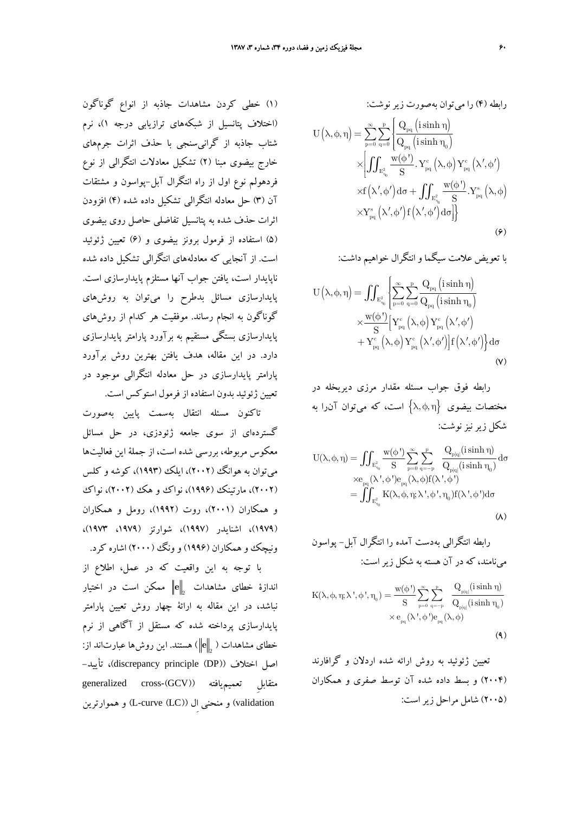(1) خطي كردن مشاهدات جاذبه از انواع گوناگون (اختلاف پتانسيل از شبكههاي ترازيابي درجه 1)، نرم شتاب جاذبه از گرانيسنجي با حذف اثرات جرمهاي خارج بيضوي مبنا (2) تشكيل معادلات انتگرالي از نوع فردهولم نوع اول از راه انتگرال آبل-پواسون و مشتقات آن (3) حل معادله انتگرالي تشكيل داده شده (4) افزودن اثرات حذف شده به پتانسيل تفاضلي حاصل روي بيضوي (5) استفاده از فرمول برونز بيضوي و (6) تعيين ژئوئيد است. از آنجايي كه معادلههاي انتگرالي تشكيل داده شده ناپايدار است، يافتن جواب آنها مستلزم پايدارسازي است. پايدارسازي مسائل بدطرح را ميتوان به روشهاي گوناگون به انجام رساند. موفقيت هر كدام از روشهاي پايدارسازي بستگي مستقيم به برآورد پارامتر پايدارسازي دارد. در اين مقاله، هدف يافتن بهترين روش برآورد پارامتر پايدارسازي در حل معادله انتگرالي موجود در تعيين ژئوئيد بدون استفاده از فرمول استوكس است.

تاكنون مسئله انتقال بهسمت پايين بهصورت گستردهاي از سوي جامعه ژئودزي، در حل مسائل معكوس مربوطه، بررسي شده است، از جملة اين فعاليتها ميتوان به هوانگ (2002)، ايلك (1993)، كوشه و كلس (٢٠٠٢)، مارتينك (١٩٩۶)، نواك و هك (٢٠٠٢)، نواك و همكاران (2001)، روت (1992)، رومل و همكاران (1979)، اشنايدر (1997)، شوارتز (،1979 1973)، ونيچك و همكاران (۱۹۹۶) و ونگ (۲۰۰۰) اشاره كرد.

با توجه به اين واقعيت كه در عمل، اطلاع از **e** ممكن است در اختيار <sup>2</sup> اندازة خطاي مشاهدات نباشد، در اين مقاله به ارائة چهار روش تعيين پارامتر پايدارسازي پرداخته شده كه مستقل از آگاهي از نرم **<sup>e</sup>** ( هستند. اين روشها عبارتاند از: 2 خطاي مشاهدات ( اصل اختلاف ((DP (principle discrepancy(، تأييد generalized cross-(GCV)) تعميميافته ِمتقابل validation (و منحني اِل ((LC (curve-L (و هموارترين

$$
U(\lambda, \varphi, \eta) = \sum_{p=0}^{\infty} \sum_{q=0}^{p} \frac{Q_{pq} (\text{isinh } \eta)}{Q_{pq} (\text{isinh } \eta_{0})}
$$
  

$$
U(\lambda, \varphi, \eta) = \sum_{p=0}^{\infty} \sum_{q=0}^{p} \frac{Q_{pq} (\text{isinh } \eta_{0})}{Q_{pq} (\text{isinh } \eta_{0})}
$$
  

$$
\times \left[ \iint_{E_{\eta_{0}}^{2}} \frac{w(\varphi^{1})}{S} \cdot Y_{pq}^{c} (\lambda, \varphi) Y_{pq}^{c} (\lambda', \varphi') \right]
$$
  

$$
\times f(\lambda', \varphi') d\sigma + \iint_{E_{\eta_{0}}^{2}} \frac{w(\varphi^{1})}{S} \cdot Y_{pq}^{s} (\lambda, \varphi)
$$
  

$$
\times Y_{pq}^{s} (\lambda', \varphi') f(\lambda', \varphi') d\sigma \right]
$$
  
(9)

$$
\begin{aligned} \mathbf{U}\left(\lambda,\varphi,\eta\right) &=\iint_{\mathbf{E}_{\eta_{0}}^{2}}\underbrace{\mathrm{d}\mathbf{z}^{T}\mathbf{Q}_{pq}\left(i\sinh\eta\right)}_{\mathbf{F}_{pq}\left(\lambda,\varphi,\eta\right)=\iint_{\mathbf{E}_{\eta_{0}}^{2}}\left\{\sum_{p=0}^{\infty}\frac{P}{q=0}\frac{Q_{pq}\left(i\sinh\eta\right)}{Q_{pq}\left(i\sinh\eta_{0}\right)}\right.\\ &\left.\times\frac{\mathbf{W}(\varphi^{\star})}{S}\Bigl[Y_{pq}^{c}\left(\lambda,\varphi\right)Y_{pq}^{c}\left(\lambda^{\prime},\varphi^{\prime}\right)\Bigr]\mathrm{d}\sigma\\ &\left.\left.\left.\mathbf{Y}_{pq}^{c}\left(\lambda,\varphi\right)Y_{pq}^{c}\left(\lambda^{\prime},\varphi^{\prime}\right)\right]f\left(\lambda^{\prime},\varphi^{\prime}\right)\right\}\mathrm{d}\sigma\end{aligned}
$$

رابطه فوق جواب مسئله مقدار مرزي ديريخله در مختصات بيضوى  $\big\{\lambda,\varphi,\eta\big\}$  است، كه مى $\tilde{\mathfrak{g}}$ وان آن شكل زيرنيزنوشت:

$$
\begin{aligned} U(\lambda,\varphi,\eta) =&\iint_{E_{\eta_0}^2}\frac{w(\varphi^{\, \prime})}{S}\sum_{p=0}^{\infty}\sum_{q=-p}^p\frac{Q_{p|q|}(i\sinh \eta)}{Q_{p|q|}(i\sinh \eta_0)}d\sigma\\ \times &e_{pq}(\lambda^{\, \prime},\varphi^{\, \prime})e_{pq}(\lambda,\varphi)f(\lambda^{\, \prime},\varphi^{\, \prime})\\ =&\iint_{E_{\eta_0}^2}K(\lambda,\varphi,\eta;\lambda^{\, \prime},\varphi^{\, \prime},\eta_0)f(\lambda^{\, \prime},\varphi^{\, \prime})d\sigma\\ \textbf{(A)}\end{aligned}
$$

رابطه انتگرالی بودست آمده را انتگرال آبل– پواسون  
مینامند، که در آن هسته به شکل زیر است:  

$$
K(\lambda, \phi, \eta; \lambda', \phi', \eta_0) = \frac{w(\phi')}{S} \sum_{p=0}^{\infty} \sum_{q=p}^{p} \frac{Q_{p|q|}(i \sinh \eta)}{Q_{p|q|}(i \sinh \eta_0)}
$$

$$
\times e_{pq}(\lambda', \phi') e_{pq}(\lambda, \phi)
$$
(4)

تعيين ژئوئيد به روش ارائه شده اردلان و گرافارند (2004) و بسط داده شده آن توسط صفري و همكاران (2005) شامل مراحل زيراست: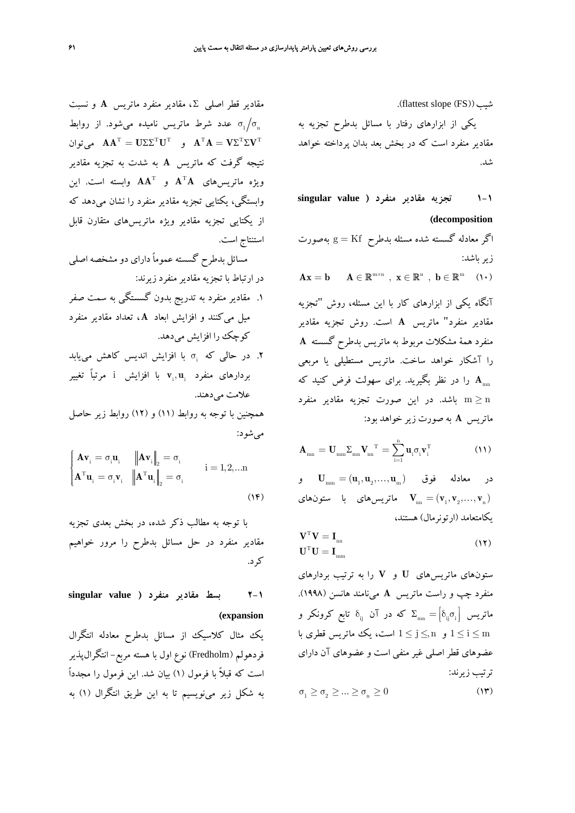.(flattest slope (FS))شيب

يكي از ابزارهاي رفتار با مسائل بدطرح تجزيه به مقادير منفرد است كه در بخش بعد بدان پرداخته خواهد شد.

**1-1 تجزيه مقادير منفرد ( value singular (decomposition**

اگر معادله گسسته شده مسئله بدطرح = Kf g بهصورت زير باشد:  $\mathbf{A}\mathbf{x} = \mathbf{b}$   $\mathbf{A} \in \mathbb{R}^{\mathbf{m} \times \mathbf{n}}$ ,  $\mathbf{x} \in \mathbb{R}^{\mathbf{n}}$ ,  $\mathbf{b} \in \mathbb{R}^{\mathbf{m}}$  (1.) آنگاه يكي از ابزارهاي كار با اين مسئله، روش "تجزيه مقادير منفرد" ماتريس **<sup>A</sup>** است. روش تجزيه مقادير منفرد همة مشكلات مربوط به ماتريس بدطرح گسسته **A** را آشكار خواهد ساخت. ماتريس مستطيلي يا مربعي را در نظر بگيريد. براي سهولت فرض كنيد كه **A**mn ≤ n m باشد. در اين صورت تجزيه مقادير منفرد ماتريس **A** به صورت زير خواهد بود:

$$
\mathbf{A}_{mn} = \mathbf{U}_{mm} \Sigma_{mn} \mathbf{V}_{nn}^{\ \ T} = \sum_{i=1}^{n} \mathbf{u}_{i} \sigma_{i} \mathbf{v}_{i}^{\ T} \tag{11}
$$

 $\mathbf{U}_{_{\text{mm}}} = (\mathbf{u}_{_{1}}, \mathbf{u}_{_{2}},...,\mathbf{u}_{_{\text{m}}})$  در معادله فوق ا ماتريسهاي با ستونهاي **V**<sub>m</sub> =  $(\mathbf{v}_1, \mathbf{v}_2, ..., \mathbf{v}_n)$ يكامتعامد (ارتونرمال) هستند،

$$
\mathbf{V}^{\mathrm{T}}\mathbf{V} = \mathbf{I}_{\mathrm{nn}} \tag{17}
$$

$$
\mathbf{U}^{\mathrm{T}}\mathbf{U} = \mathbf{I}_{\mathrm{mm}} \tag{18}
$$

ستونهاي ماتريسهاي **U** و **V** را به ترتيب بردارهاي منفرد چپ و راست ماتريس **A** مينامند هانسن (1998). ماتریس  $\delta_{\rm ij} = \begin{bmatrix} \delta_{\rm ij} & \delta_{\rm ij} \end{bmatrix}$  ماتریس  $\Sigma_{\rm mn} = \begin{bmatrix} \delta_{\rm ij} & \delta_{\rm ij} \end{bmatrix}$ و  $1 \leq j \leq n \leq 1$  است، يك ماتريس قطري با  $1 \leq i \leq m$ عضوهاي قطر اصلي غير منفي است و عضوهاي آن داراي ترتيب زيرند:

$$
\sigma_{1} \ge \sigma_{2} \ge \dots \ge \sigma_{n} \ge 0 \tag{17}
$$

مقادير قطر اصلي Σ ، مقادير منفرد ماتريس **A** و نسبت عدد شرط ماتريس ناميده مي شود. از روابط  $\sigma_{_{\rm 1}}\!/\sigma_{_{\rm n}}$ ق **AA**<sup>T</sup> =  $\mathbf{U}\Sigma\Sigma^{\mathrm{T}}\mathbf{U}^{\mathrm{T}}$  و **A**<sup>T</sup>**A** =  $\mathbf{V}\Sigma^{\mathrm{T}}\Sigma\mathbf{V}^{\mathrm{T}}$ نتيجه گرفت كه ماتريس **A** به شدت به تجزيه مقادير  $\mathbf{A}^{\mathrm{T}}$ ویژه ماتریسهای  $\mathbf{A}^{\mathrm{T}}$  و  $\mathbf{A}^{\mathrm{T}}$  و  $\mathbf{A}^{\mathrm{T}}$  و  $\mathbf{A}$ وابستگي، يكتايي تجزيه مقادير منفرد را نشان ميدهد كه از يكتايي تجزيه مقادير ويژه ماتريسهاي متقارن قابل استنتاج است.

مسائل بدطرح گسسته عموماً داراي دو مشخصه اصلي در ارتباط با تجزيه مقادير منفرد زيرند:

- .1 مقادير منفرد به تدريج بدون گسستگي به سمت صفر ميل ميكنند و افزايش ابعاد **A** ، تعداد مقادير منفرد كوچك را افزايش ميدهد.
- ت. در حالي كه في ابا افزايش انديس كاهش مي يابد i. ,**u v** با افزايش i مرتباً تغيير i i بردارهاي منفرد علامت مي دهند.

همچنين با توجه به روابط (11) و (12) روابط زير حاصل ميشود:

$$
\begin{cases}\n\mathbf{A}\mathbf{v}_{i} = \sigma_{i}\mathbf{u}_{i} & \|\mathbf{A}\mathbf{v}_{i}\|_{2} = \sigma_{i} \\
\mathbf{A}^{T}\mathbf{u}_{i} = \sigma_{i}\mathbf{v}_{i} & \|\mathbf{A}^{T}\mathbf{u}_{i}\|_{2} = \sigma_{i} \\
\end{cases}
$$
\n $i = 1, 2, \dots n$ \n
$$
(1)^{\circ}
$$
\n
$$
(1)^{\circ}
$$

با توجه به مطالب ذكر شده، در بخش بعدي تجزيه مقادير منفرد در حل مسائل بدطرح را مرور خواهيم كرد.

**2-1 بسط مقادير منفرد ( value singular (expansion**

يك مثال كلاسيك از مسائل بدطرح معادله انتگرال فردهولم (Fredholm (نوع اول با هسته مربع- انتگرالپذير است كه قبلاً با فرمول (1) بيان شد. اين فرمول را مجدداً به شكل زير مينويسيم تا به اين طريق انتگرال (1) به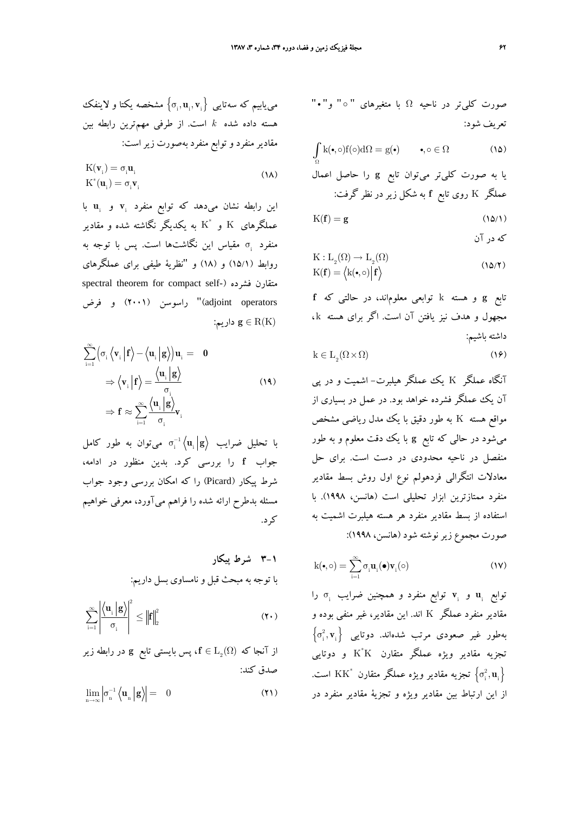$$
K(\mathbf{v}_i) = \sigma_i \mathbf{u}_i
$$
  
\n
$$
K^*(\mathbf{u}_i) = \sigma_i \mathbf{v}_i
$$
\n(1A)

اين رابطه نشان مي دهد كه توابع منفرد ,v و ,u با عملگرهای  $_{\rm K}$  و  $_{\rm K}^*$  به يكديگر نگاشته شده و مقادير سنفرد  $\sigma_i$  مقياس اين نگاشتها است. پس با توجه به روابط (15/1) و (18) و "نظرية طيفي براي عملگرهاي spectral theorem for compact self-) فشرده متقارن adjoint operators" راسوسن (۲۰۰۱) و فرض :داريم **g** ∈ R(K)

$$
\sum_{i=1}^{\infty} \left( \sigma_i \left\langle \mathbf{v}_i \middle| \mathbf{f} \right\rangle - \left\langle \mathbf{u}_i \middle| \mathbf{g} \right\rangle \right) \mathbf{u}_i = \mathbf{0}
$$
\n
$$
\Rightarrow \left\langle \mathbf{v}_i \middle| \mathbf{f} \right\rangle = \frac{\left\langle \mathbf{u}_i \middle| \mathbf{g} \right\rangle}{\sigma_i}
$$
\n
$$
\Rightarrow \mathbf{f} \approx \sum_{i=1}^{\infty} \frac{\left\langle \mathbf{u}_i \middle| \mathbf{g} \right\rangle}{\sigma_i} \mathbf{v}_i
$$
\n(14)

با تحليل ضرايب  $\mathbf{u}_\mathrm{i} \left| \mathbf{g} \right\rangle$  مىتوان به طور كامل جواب **f** را بررسي كرد. بدين منظور در ادامه، شرط پيكار (Picard (را كه امكان بررسي وجود جواب مسئله بدطرح ارائه شده را فراهم ميآورد، معرفي خواهيم كرد.

**3-1 شرط پيكار** با توجه به مبحث قبل و نامساوي بسل داريم:

$$
\sum_{i=1}^{\infty} \left| \frac{\left\langle \mathbf{u}_{i} \left| \mathbf{g} \right\rangle \right|^{2}}{\sigma_{i}} \right|^{2} \leq \left\| \mathbf{f} \right\|_{2}^{2} \tag{\Upsilon\,\text{-}\,}
$$

از آنجا که 
$$
f \in L_2(\Omega)
$$
 پس بایستی تابع یو در رابطه زیر  
صلق کند:

$$
\lim_{n \to \infty} \left| \sigma_n^{-1} \left\langle \mathbf{u}_n \, \middle| \, \mathbf{g} \right\rangle \right| = \quad 0 \tag{1}
$$

صورت كليتر در ناحيه <sup>Ω</sup> با متغيرهاي " <sup>D</sup> " و" <sup>i</sup>" تعريف شود:

$$
\int_{\Omega} \mathbf{k}(\bullet,\circ) \mathbf{f}(\circ) \mathrm{d}\Omega = \mathbf{g}(\bullet) \qquad \bullet, \circ \in \Omega \tag{12}
$$

يا به صورت كليتر ميتوان تابع **g** را حاصل اعمال عملگر K روي تابع **f** به شكل زيردر نظر گرفت:

$$
K(f) = g \tag{10/1}
$$

كه در آن

$$
K: L_2(\Omega) \to L_2(\Omega)
$$
  
\n
$$
K(\mathbf{f}) = \langle k(\bullet, \circ) | \mathbf{f} \rangle
$$
\n(12.11)

تابع **g** و هسته k توابعي معلوماند، در حالتي كه **f** مجهول و هدف نيز يافتن آن است. اگر براي هسته k ، داشته باشيم:

$$
k \in L_2(\Omega \times \Omega) \tag{19}
$$

آنگاه عملگر K يك عملگر هيلبرت- اشميت و در پي آن يك عملگر فشرده خواهد بود. در عمل در بسياري از مواقع هسته K به طور دقيق با يك مدل رياضي مشخص ميشود در حالي كه تابع **g** با يك دقت معلوم و به طور منفصل در ناحيه محدودي در دست است. براي حل معادلات انتگرالي فردهولم نوع اول روش بسط مقادير منفرد ممتازترين ابزار تحليلي است (هانسن، 1998). با استفاده از بسط مقادير منفرد هر هسته هيلبرت اشميت به صورت مجموع زيرنوشته شود (هانسن، 1998):

$$
k(\bullet, \circ) = \sum_{i=1}^{\infty} \sigma_i \mathbf{u}_i(\bullet) \mathbf{v}_i(\circ)
$$
 (1V)

σ را <sup>i</sup> **v** توابع منفرد و همچنين ضرايب <sup>i</sup> **u** و <sup>i</sup> توابع مقادير منفرد عملگر K اند. اين مقادير، غير منفي بوده و  $\left\{\sigma_{\textrm{i}}^{2},\mathbf{v}_{\textrm{i}}\right\}$  بهطور غیر صعودی مرتب شدهاند. دوتایی تجزيه مقادير ويژه عملگر متقارن  $\rm K^*K$  و دوتايي تجزیه مقادیر ویژه عملگر متقارن  $\rm KK^*$  است.  $\left\{\sigma_{\rm i}^2, {\bf u}_{\rm i}\right\}$ از اين ارتباط بين مقادير ويژه و تجزية مقادير منفرد در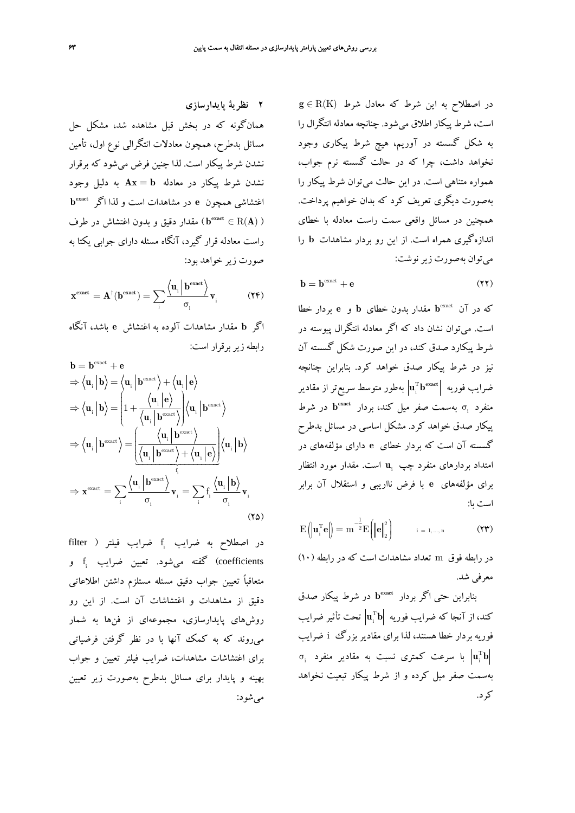در اصطلاح به اين شرط كه معادل شرط (K(R ∈ **g** است، شرط پيكار اطلاق ميشود. چنانچه معادله انتگرال را به شكل گسسته در آوريم، هيچ شرط پيكاري وجود نخواهد داشت، چرا كه در حالت گسسته نرم جواب، همواره متناهي است. در اين حالت ميتوان شرط پيكار را بهصورت ديگري تعريف كرد كه بدان خواهيم پرداخت. همچنين در مسائل واقعي سمت راست معادله با خطاي اندازهگيري همراه است. از اين رو بردار مشاهدات **b** را ميتوان بهصورت زيرنوشت:

$$
\mathbf{b} = \mathbf{b}^{\text{exact}} + \mathbf{e} \tag{11}
$$

**b** مقدار بدون خطاي **b** و **e** بردار خطا exact كه در آن است. ميتوان نشان داد كه اگر معادله انتگرال پيوسته در شرط پيكارد صدق كند، در اين صورت شكل گسسته آن نيز در شرط پيكار صدق خواهد كرد. بنابراين چنانچه T ضرايب فوريه i **b u** بهطور متوسط سريعتر از مقادير **exact b** در شرط **exact** σ بهسمت صفر ميل كند، بردار <sup>i</sup> منفرد پيكار صدق خواهد كرد. مشكل اساسي در مسائل بدطرح گسسته آن است كه بردار خطاي **e** داراي مؤلفههاي در امتداد بردارهای منفرد چپ u<sub>i</sub> است. مقدار مورد انتظار براي مؤلفههاي **e** با فرض نااريبي و استقلال آن برابر است با:

$$
E(|\mathbf{u}_{i}^{T}\mathbf{e}|) = m^{-\frac{1}{2}}E(|\mathbf{e}|_{2}^{2}) \qquad i = 1,...,n
$$
 (17)

در رابطه فوق m تعداد مشاهدات است كه در رابطه (10) معرفي شد.

**b** در شرط پيكار صدق **exact** بنابراين حتي اگر بردار T كند، از آنجا كه ضرايب فوريه **b u** تحت تأثير ضرايب <sup>i</sup> فوريه بردار خطا هستند، لذا براي مقادير بزرگ i ضرايب  $\sigma_{_{\rm i}}$  با سرعت كمترى نسبت به مقادير منفرد  $\left| {\bf u}_{_{\rm i}}^{\rm T} {\bf b} \right|$ بهسمت صفر ميل كرده و از شرط پيكار تبعيت نخواهد كرد.

**2 نظرية پايدارسازي** همانگونه كه در بخش قبل مشاهده شد، مشكل حل مسائل بدطرح، همچون معادلات انتگرالي نوع اول، تأمين نشدن شرط پيكار است. لذا چنين فرض ميشود كه برقرار نشدن شرط پيكار در معادله = **b Ax** به دليل وجود **b exact** اغتشاشي همچون **e** در مشاهدات است و لذا اگر **A b** ( مقدار دقيق و بدون اغتشاش در طرف **exact**( ) ) R∈ راست معادله قرار گيرد، آنگاه مسئله داراي جوابي يكتا به صورت زير خواهد بود:

$$
\mathbf{x}^{\text{exact}} = \mathbf{A}^{\dagger}(\mathbf{b}^{\text{exact}}) = \sum_i \frac{\left\langle \mathbf{u}_i \left| \mathbf{b}^{\text{exact}} \right\rangle}{\sigma_i} \mathbf{v}_i \tag{YF}
$$

اگر **b** مقدار مشاهدات آلوده به اغتشاش **e** باشد، آنگاه رابطه زيربرقرار است:

$$
\mathbf{b} = \mathbf{b}^{\text{exact}} + \mathbf{e}
$$
\n
$$
\Rightarrow \langle \mathbf{u}_{i} | \mathbf{b} \rangle = \langle \mathbf{u}_{i} | \mathbf{b}^{\text{exact}} \rangle + \langle \mathbf{u}_{i} | \mathbf{e} \rangle
$$
\n
$$
\Rightarrow \langle \mathbf{u}_{i} | \mathbf{b} \rangle = \left( 1 + \frac{\langle \mathbf{u}_{i} | \mathbf{e} \rangle}{\langle \mathbf{u}_{i} | \mathbf{b}^{\text{exact}} \rangle} \right) \langle \mathbf{u}_{i} | \mathbf{b}^{\text{exact}} \rangle
$$
\n
$$
\Rightarrow \langle \mathbf{u}_{i} | \mathbf{b}^{\text{exact}} \rangle = \frac{\langle \mathbf{u}_{i} | \mathbf{b}^{\text{exact}} \rangle}{\langle \mathbf{u}_{i} | \mathbf{b}^{\text{exact}} \rangle + \langle \mathbf{u}_{i} | \mathbf{e} \rangle} \langle \mathbf{u}_{i} | \mathbf{b} \rangle
$$
\n
$$
\Rightarrow \mathbf{x}^{\text{exact}} = \sum_{i} \frac{\langle \mathbf{u}_{i} | \mathbf{b}^{\text{exact}} \rangle}{\sigma_{i}} \mathbf{v}_{i} = \sum_{i} \mathbf{f}_{i} \frac{\langle \mathbf{u}_{i} | \mathbf{b} \rangle}{\sigma_{i}} \mathbf{v}_{i}
$$
\n(12)

filter ) در اصطلاح به ضرايب فيلتر ( filter coefficients) گفته مي شود. تعيين ضرايب f<sub>i</sub> و متعاقباً تعيين جواب دقيق مسئله مستلزم داشتن اطلاعاتي دقيق از مشاهدات و اغتشاشات آن است. از اين رو روشهاي پايدارسازي، مجموعهاي از فنها به شمار ميروند كه به كمك آنها با در نظر گرفتن فرضياتي براي اغتشاشات مشاهدات، ضرايب فيلتر تعيين و جواب بهينه و پايدار براي مسائل بدطرح بهصورت زير تعيين ميشود: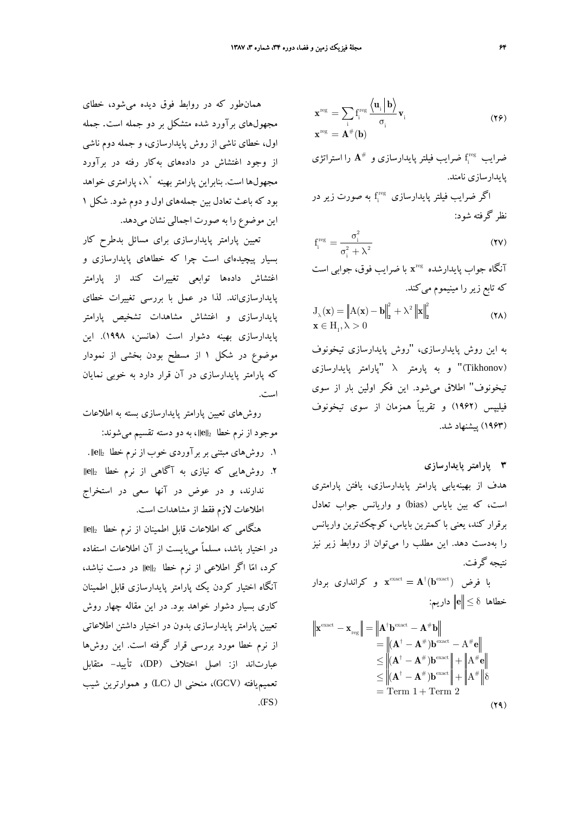$$
\mathbf{x}^{\text{reg}} = \sum_{i} \mathbf{f}_{i}^{\text{reg}} \frac{\langle \mathbf{u}_{i} | \mathbf{b} \rangle}{\sigma_{i}} \mathbf{v}_{i}
$$
\n
$$
\mathbf{x}^{\text{reg}} = \mathbf{A}^{\#}(\mathbf{b})
$$
\n(19)

ضرايب  $\mathbf{f}^{\rm reg}_\text{i}$  ضرايب فيلتر پايدارسازي و  $\mathbf{A}^\#$  را استراتژي پايدارسازي نامند.

گر ضرايب فيلتر پايدارسازى  $f_{\rm i}^{\rm reg}$  به صورت زير در نظر گرفته شود:

$$
f_i^{\text{reg}} = \frac{\sigma_i^2}{\sigma_i^2 + \lambda^2}
$$
 (YV)

**x** با ضرايب فوق، جوابي است reg آنگاه جواب پايدارشده كه تابع زير را مينيموم ميكند.

$$
\begin{aligned} \mathbf{J}_{\lambda}(\mathbf{x}) &= \left\| \mathbf{A}(\mathbf{x}) - \mathbf{b} \right\|_{2}^{2} + \lambda^{2} \left\| \mathbf{x} \right\|_{2}^{2} \\ \mathbf{x} &\in \mathbf{H}_{1}, \lambda > 0 \end{aligned} \tag{7A}
$$

به اين روش پايدارسازي، "روش پايدارسازي تيخونوف (Tikhonov "(و به پارمتر <sup>λ</sup>" پارامتر پايدارسازي تيخونوف" اطلاق ميشود. اين فكر اولين بار از سوي فيليپس (1962) و تقريباً همزمان از سوي تيخونوف (1963) پيشنهاد شد.

### **3 پارامتر پايدارسازي**

هدف از بهينهيابي پارامتر پايدارسازي، يافتن پارامتري است، كه بين باياس (bias) و واريانس جواب تعادل برقرار كند، يعني با كمترين باياس، كوچكترين واريانس را بهدست دهد. اين مطلب را ميتوان از روابط زير نيز نتيجه گرفت.

 $\mathbf{x}^{\mathrm{exact}} = \mathbf{A}^{\dagger}(\mathbf{b}^{\mathrm{exact}})$  با فرض ا خطاها δ ≤ **e** داريم:

$$
\|\mathbf{x}^{\text{exact}} - \mathbf{x}_{\text{reg}}\| = \|\mathbf{A}^{\dagger} \mathbf{b}^{\text{exact}} - \mathbf{A}^{\#} \mathbf{b}\|
$$
  
\n
$$
= \|(\mathbf{A}^{\dagger} - \mathbf{A}^{\#})\mathbf{b}^{\text{exact}} - \mathbf{A}^{\#} \mathbf{e}\|
$$
  
\n
$$
\leq \|(\mathbf{A}^{\dagger} - \mathbf{A}^{\#})\mathbf{b}^{\text{exact}}\| + \|\mathbf{A}^{\#} \mathbf{e}\|
$$
  
\n
$$
\leq \|(\mathbf{A}^{\dagger} - \mathbf{A}^{\#})\mathbf{b}^{\text{exact}}\| + \|\mathbf{A}^{\#} \|\delta
$$
  
\n
$$
= \text{Term 1} + \text{Term 2}
$$
 (34)

همانطور كه در روابط فوق ديده ميشود، خطاي مجهولهاي برآورد شده متشكل بر دو جمله است. جمله اول، خطاي ناشي از روش پايدارسازي، و جمله دوم ناشي از وجود اغتشاش در دادههاي بهكار رفته در برآورد مجهولها است. بنابراين پارامتر بهينه  $\lambda^*$ ، پارامتری خواهد بود كه باعث تعادل بين جملههاي اول و دوم شود. شكل 1 اين موضوع را به صورت اجمالي نشان ميدهد.

تعيين پارامتر پايدارسازي براي مسائل بدطرح كار بسيار پيچيدهاي است چرا كه خطاهاي پايدارسازي و اغتشاش دادهها توابعي تغييرات كند از پارامتر پايدارسازياند. لذا در عمل با بررسي تغييرات خطاي پايدارسازي و اغتشاش مشاهدات تشخيص پارامتر پايدارسازي بهينه دشوار است (هانسن، 1998). اين موضوع در شكل 1 از مسطح بودن بخشي از نمودار كه پارامتر پايدارسازي در آن قرار دارد به خوبي نمايان است.

روشهاي تعيين پارامتر پايدارسازي بسته به اطلاعات موجود از نرم خطا <sup>2</sup> **e** ، به دو دسته تقسيم ميشوند: .1 روشهاي مبتني بربرآوردي خوب از نرم خطا <sup>2</sup> **e** .

.2 روشهايي كه نيازي به آگاهي از نرم خطا <sup>2</sup> **e**

ندارند، و در عوض در آنها سعي در استخراج اطلاعات لازم فقط از مشاهدات است.

هنگامي كه اطلاعات قابل اطمينان از نرم خطا <sup>2</sup> **e** در اختيار باشد، مسلماً ميبايست از آن اطلاعات استفاده كرد، اما اگر اطلاعي از نرم خطا <sup>2</sup> **e** در دست نباشد، آنگاه اختيار كردن يك پارامتر پايدارسازي قابل اطمينان كاري بسيار دشوار خواهد بود. در اين مقاله چهار روش تعيين پارامتر پايدارسازي بدون در اختيار داشتن اطلاعاتي از نرم خطا مورد بررسي قرار گرفته است. اين روشها عبارتاند از: اصل اختلاف (DP(، تأييد- متقابل تعميميافته (GCV(، منحني ال (LC (و هموارترين شيب  $(FS)$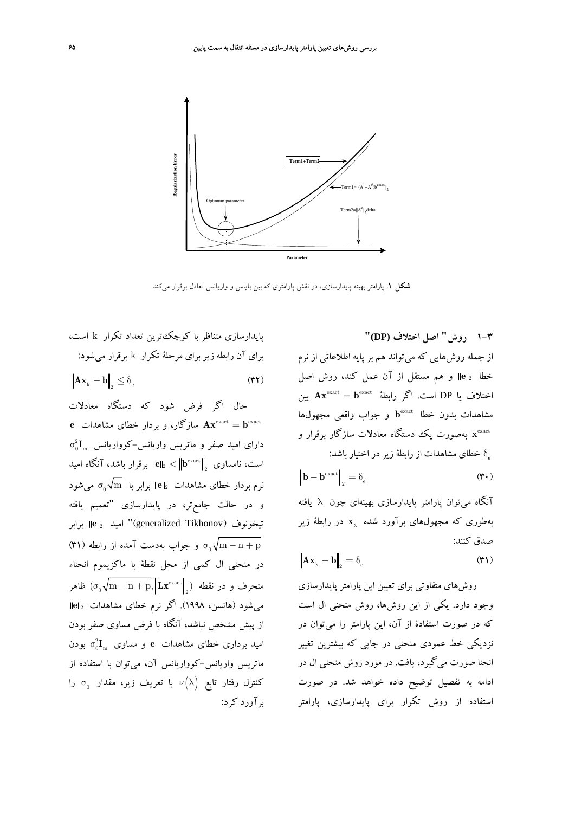

**شكل .1** پارامتر بهينه پايدارسازي، در نقش پارامتري كه بين باياس و واريانس تعادل برقرار ميكند.

پايدارسازي متناظر با كوچكترين تعداد تكرار k است، براي آن رابطه زيربراي مرحلة تكرار k برقرار ميشود:  $\|\mathbf{A}\mathbf{x}_{k} - \mathbf{b}\|_{\infty} \leq \delta_{\infty}$  (۳۲)

حال اگر فرض شود كه دستگاه معادلات = **b Ax** سازگار، و بردار خطاي مشاهدات **e** exact exact  $\sigma^2_0 \mathbf{I}_\mathrm{m}$  دارای امید صفر و ماتریس واریانس $-$ کوواریانس است، نامساوی  $\| \mathbf{b}^{\rm exact} \|_{2} < \| \mathbf{b}^{\rm exact} \|_{2}$  برقرار باشد، آنگاه امید  $\sigma_{_0}\sqrt{\mathrm{m}}$  نرم بردار خطای مشاهدات  $\left\Vert \mathbf{e} \right\Vert_2$  برابر با و در حالت جامعتر، در پايدارسازي "تعميم يافته تيخونوف (Tikhonov generalized "(اميد <sup>2</sup> **<sup>e</sup>** برابر m $\gamma_{\rm m}$ و جواب بهدست آمده از رابطه (۳۱) و  $\sigma_{\rm 0} \sqrt{\rm m} - {\rm n} + {\rm p}$ در منحني ال كمي از محل نقطة با ماكزيموم انحناء  $\sigma_{\rm c}(\sigma_{\rm c}^2\sqrt{{\rm m-n+p}}, \left\|{\rm Lx}^{\rm exact}\right\|_2)$  ظاهر ميشود (هانسن، 1998). اگر نرم خطاي مشاهدات <sup>2</sup> **e** از پيش مشخص نباشد، آنگاه با فرض مساوي صفر بودن امید برداری خطای مشاهدات e و مساوی  $\sigma_0^2 \mathbf{I}_{_\mathrm{m}}$  بودن ماتريس واريانس-كوواريانس آن، ميتوان با استفاده از کنترل رفتار تابع  $\nu(\lambda)$  با تعریف زیر، مقدار  $\sigma_{_0}$  را برآورد كرد:

**1-3 روش" اصل اختلاف (DP"(** از جمله روشهايي كه ميتواند هم بر پايه اطلاعاتي از نرم خطا <sup>2</sup> **e** و هم مستقل از آن عمل كند، روش اصل  $\mathbf{A} \mathbf{x}^{\text{exact}} = \mathbf{b}^{\text{exact}}$  اختلاف يا DP است. اگر رابطهٔ **b** و جواب واقعي مجهولها exact مشاهدات بدون خطا x<sup>exact</sup> بهصورت يك دستگاه معادلات سازگار برقرار و خطاي مشاهدات از رابطة زيردر اختيار باشد: δ**<sup>e</sup>**

$$
\left\| \mathbf{b} - \mathbf{b}^{\text{exact}} \right\|_2 = \delta_e \tag{\textbf{v}.}
$$

آنگاه ميتوان پارامتر پايدارسازي بهينهاي چون λ يافته بهطوري كه مجهولهاي برآورد شده  $\mathbf{x}_{\lambda}$  در رابطهٔ زير صدق كنند:

$$
\left\| \mathbf{A} \mathbf{x}_{\lambda} - \mathbf{b} \right\|_{2} = \delta_{\mathrm{e}} \tag{2.1}
$$

روشهاي متفاوتي براي تعيين اين پارامتر پايدارسازي وجود دارد. يكي از اين روشها، روش منحني ال است كه در صورت استفادة از آن، اين پارامتر را ميتوان در نزديكي خط عمودي منحني در جايي كه بيشترين تغيير انحنا صورت ميگيرد، يافت. در مورد روش منحني ال در ادامه به تفصيل توضيح داده خواهد شد. در صورت استفاده از روش تكرار براي پايدارسازي، پارامتر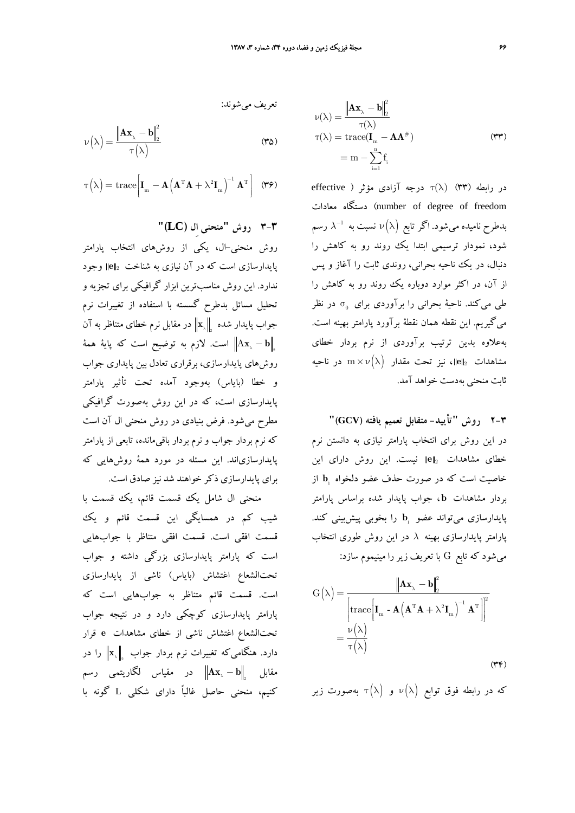$$
\nu(\lambda) = \frac{\|\mathbf{A}\mathbf{x}_{\lambda} - \mathbf{b}\|_{2}^{2}}{\tau(\lambda)}
$$
 (72)

$$
\tau\left(\lambda\right) = \mathrm{trace}\bigg[\mathbf{I}_{_{\mathrm{m}}}-\mathbf{A}\left(\mathbf{A}^{\mathrm{T}}\mathbf{A}+\lambda^{2}\mathbf{I}_{_{\mathrm{m}}}\right)^{-1}\mathbf{A}^{\mathrm{T}}\bigg]\ \ \, \left(\pmb{\tau}\pmb{\varphi}\right)
$$

**3-3 روش "منحني اِل (LC"(**

تعريف ميشوند:

روش منحني-ال، يكي از روشهاي انتخاب پارامتر پايدارسازي است كه در آن نيازي به شناخت <sup>2</sup> **e** وجود ندارد. اين روش مناسبترين ابزار گرافيكي براي تجزيه و تحليل مسائل بدطرح گسسته با استفاده از تغييرات نرم 2 جواب پايدار شده در مقابل نرم خطاي متناظر به **x**<sup>λ</sup> آن 2 − <sup>λ</sup> **b** A**x** است. لازم به توضيح است كه پاية همة روشهاي پايدارسازي، برقراري تعادل بين پايداري جواب و خطا (باياس) بهوجود آمده تحت تأثير پارامتر پايدارسازي است، كه در اين روش بهصورت گرافيكي مطرح ميشود. فرض بنيادي در روش منحني ال آن است كه نرم بردار جواب و نرم بردار باقيمانده، تابعي از پارامتر پايدارسازياند. اين مسئله در مورد همة روشهايي كه براي پايدارسازي ذكر خواهند شد نيز صادق است.

منحني ال شامل يك قسمت قائم، يك قسمت با شيب كم در همسايگي اين قسمت قائم و يك قسمت افقي است. قسمت افقي متناظر با جوابهايي است كه پارامتر پايدارسازي بزرگي داشته و جواب تحتالشعاع اغتشاش (باياس) ناشي از پايدارسازي است. قسمت قائم متناظر به جوابهايي است كه پارامتر پايدارسازي كوچكي دارد و در نتيجه جواب تحتالشعاع اغتشاش ناشي از خطاي مشاهدات **e** قرار دارد. هنگامیکه تغییرات نرم بردار جواب <sub>∞</sub>||x<sub>۸</sub> را در مقابل  $\left\| \mathbf{A} \mathbf{x}_{\scriptscriptstyle \lambda} - \mathbf{b} \right\|_{\scriptscriptstyle 2}$  در مقیاس لگاریتمی رسم كنيم، منحني حاصل غالباً داراي شكلي L گونه با

$$
\nu(\lambda) = \frac{\left\| \mathbf{A} \mathbf{x}_{\lambda} - \mathbf{b} \right\|_{2}^{2}}{\tau(\lambda)}
$$

$$
\tau(\lambda) = \text{trace}(\mathbf{I}_{m} - \mathbf{A} \mathbf{A}^{*})
$$

$$
= m - \sum_{i=1}^{n} \mathbf{f}_{i}
$$
(TT)

در رابطه (۳۳) ( $\tau(\lambda)$  درجه آزادی مؤثر ( effective معادات دستگاه) number of degree of freedom  $\lambda^{-1}$  بدطرح ناميده مىشود. اگر تابع  $\nu\big(\lambda\big)$  نسبت به  $\lambda^{-1}$  رسم شود، نمودار ترسيمي ابتدا يك روند رو به كاهش را دنبال، در يك ناحيه بحراني، روندي ثابت را آغاز و پس از آن، در اكثر موارد دوباره يك روند رو به كاهش را طی میکند. ناحیهٔ بحرانی را برآوردی برای  $\sigma_{_0}$  در نظر ميگيريم. اين نقطه همان نقطة برآورد پارامتر بهينه است. بهعلاوه بدين ترتيب برآوردي از نرم بردار خطاي مشاهدات  $\|{\bf e}\|_2$ ، نيز تحت مقدار  ${\bf w}\times \nu\big(\lambda\big)$  در ناحيه ثابت منحني بهدست خواهد آمد.

**2-3 روش "تأييد- متقابل تعميم يافته (GCV"(** در اين روش براي انتخاب پارامتر نيازي به دانستن نرم خطاي مشاهدات <sup>2</sup> **e** نيست. اين روش داراي اين **b** از <sup>i</sup> خاصيت است كه در صورت حذف عضو دلخواه بردار مشاهدات **b** ، جواب پايدار شده براساس پارامتر **b** را بخوبي پيشبيني كند. <sup>i</sup> پايدارسازي ميتواند عضو پارامتر پايدارسازي بهينه *λ* در اين روش طوري انتخاب ميشود كه تابع G با تعريف زير را مينيموم سازد:

$$
G(\lambda) = \frac{\|\mathbf{A}\mathbf{x}_{\lambda} - \mathbf{b}\|_{2}^{2}}{\left[\text{trace}\left[\mathbf{I}_{m} - \mathbf{A}\left(\mathbf{A}^{T}\mathbf{A} + \lambda^{2}\mathbf{I}_{m}\right)^{-1}\mathbf{A}^{T}\right]\right]^{2}}
$$

$$
= \frac{\nu(\lambda)}{\tau(\lambda)}
$$
(\text{FF})

که در رابطه فوق توابع  $\nu(\lambda)$  و  $\tau(\lambda)$  بهصورت زير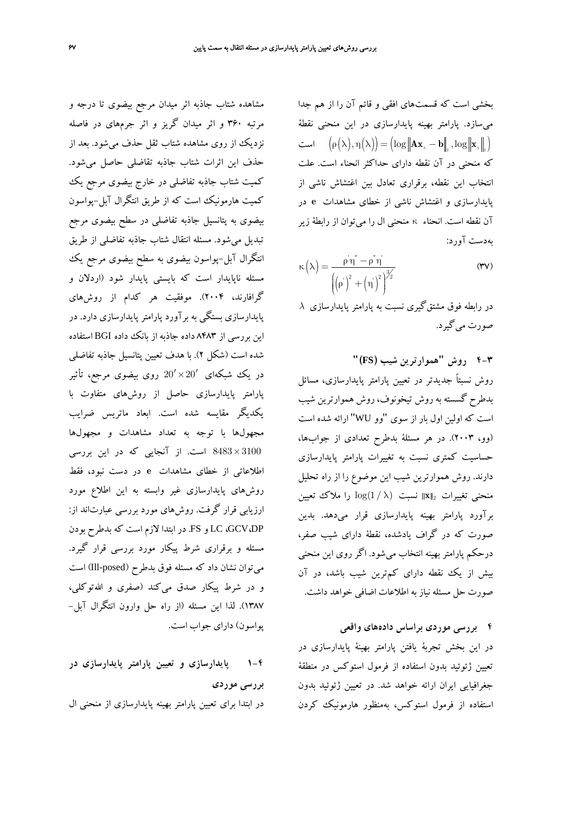بخشي است كه قسمتهاي افقي و قائم آن را از هم جدا ميسازد. پارامتر بهينه پايدارسازي در اين منحني نقطة است  $\big(\rho\big(\lambda\big),\eta\big(\lambda\big)\big)\!=\!\big(\!\log \big\|\mathbf{Ax}_{{\scriptscriptstyle \lambda}}-\mathbf{b}\big\|_{\!\scriptscriptstyle 2} \,,\log \big\|\mathbf{x}_{{\scriptscriptstyle \lambda}}\big\|_{\!\scriptscriptstyle 2}\big)$ كه منحني در آن نقطه داراي حداكثر انحناء است. علت انتخاب اين نقطه، برقراري تعادل بين اغتشاش ناشي از پايدارسازي و اغتشاش ناشي از خطاي مشاهدات **e** در آن نقطه است. انحناء κ منحني ال را ميتوان از رابطة زير بهدست آورد:

$$
\kappa\left(\lambda\right) = \frac{\rho^{\prime} \eta^{\prime} - \rho^{\prime \prime} \eta^{\prime}}{\left(\left(\rho^{\prime}\right)^{2} + \left(\eta^{\prime}\right)^{2}\right)^{3/2}}
$$
\n(TV)

 $\lambda$  در رابطه فوق مشتقگيري نسبت به پارامتر پايدارسازي صورت ميگيرد.

**4-3 روش "هموارترين شيب (FS"(** روش نسبتاً جديدتر در تعيين پارامتر پايدارسازي، مسائل بدطرح گسسته به روش تيخونوف، روش هموارترين شيب است كه اولين اول بار از سوي "وو WU "ارائه شده است (وو، 2003). در هر مسئلة بدطرح تعدادي از جوابها، حساسيت كمتري نسبت به تغييرات پارامتر پايدارسازي دارند. روش هموارترين شيب اين موضوع را از راه تحليل منحني تغييرات <sup>2</sup> **x** نسبت λ ) 1/(log را ملاك تعيين برآورد پارامتر بهينه پايدارسازي قرار ميدهد. بدين صورت كه در گراف يادشده، نقطة داراي شيب صفر، درحكم پارامتر بهينه انتخاب ميشود. اگر روي اين منحني بيش از يك نقطه داراي كمترين شيب باشد، در آن صورت حل مسئله نياز به اطلاعات اضافي خواهد داشت.

**4 بررسي موردي براساس دادههاي واقعي** در اين بخش تجربة يافتن پارامتر بهينة پايدارسازي در تعيين ژئوئيد بدون استفاده از فرمول استوكس در منطقة جغرافيايي ايران ارائه خواهد شد. در تعيين ژئوئيد بدون استفاده از فرمول استوكس، بهمنظور هارمونيك كردن

مشاهده شتاب جاذبه اثر ميدان مرجع بيضوي تا درجه و مرتبه 360 و اثر ميدان گريز و اثر جرمهاي در فاصله نزديك از روي مشاهده شتاب ثقل حذف ميشود. بعد از حذف اين اثرات شتاب جاذبه تقاضلي حاصل ميشود. كميت شتاب جاذبه تفاضلي در خارج بيضوي مرجع يك كميت هارمونيك است كه از طريق انتگرال آبل-پواسون بيضوي به پتانسيل جاذبه تفاضلي در سطح بيضوي مرجع تبديل ميشود. مسئله انتقال شتاب جاذبه تفاضلي از طريق انتگرال آبل-پواسون بيضوي به سطح بيضوي مرجع يك مسئله ناپايدار است كه بايستي پايدار شود (اردلان و گرافارند، 2004). موفقيت هر كدام از روشهاي پايدارسازي بستگي به برآورد پارامتر پايدارسازي دارد. در اين بررسي از 8483 داده جاذبه از بانك داده BGI استفاده شده است (شكل 2). با هدف تعيين پتانسيل جاذبه تفاضلي در يك شبكهاى  $20'\times 20'$  روى بيضوى مرجع، تأثير پارامتر پايدارسازي حاصل از روشهاي متفاوت با يكديگر مقايسه شده است. ابعاد ماتريس ضرايب مجهولها با توجه به تعداد مشاهدات و مجهولها × 3100 8483 است. از آنجايي كه در اين بررسي اطلاعاتي از خطاي مشاهدات **e** در دست نبود، فقط روشهاي پايدارسازي غير وابسته به اين اطلاع مورد ارزيابي قرار گرفت. روشهاي مورد بررسي عبارتاند از: DP،GCV، LC و FS. در ابتدا لازم است كه بدطرح بودن مسئله و برقراري شرط پيكار مورد بررسي قرار گيرد. ميتوان نشان داد كه مسئله فوق بدطرح (posed-Ill (است و در شرط پيكار صدق ميكند (صفري و االلهتوكلي، 1387). لذا اين مسئله (از راه حل وارون انتگرال آبل- پواسون) داراي جواب است.

**1-4 پايدارسازي و تعيين پارامتر پايدارسازي در بررسي موردي** در ابتدا براي تعيين پارامتر بهينه پايدارسازي از منحني ال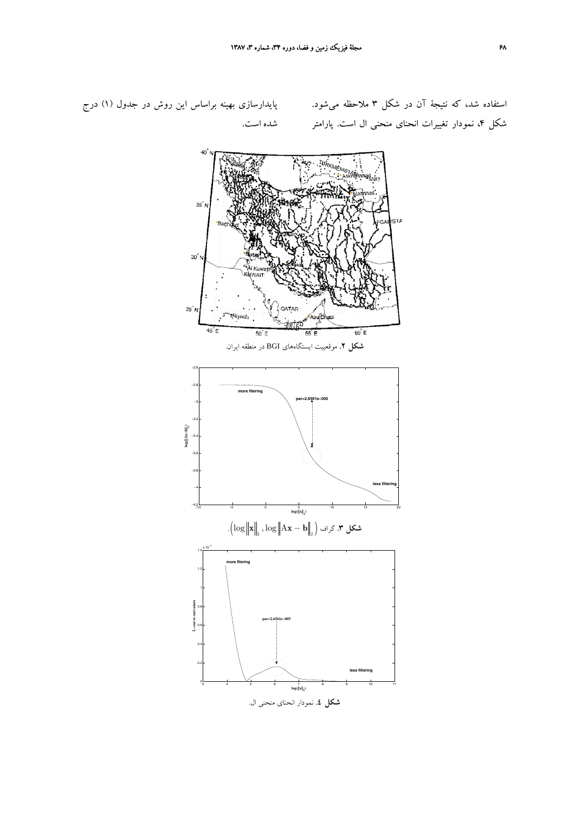استفاده شد، كه نتيجة آن در شكل 3 ملاحظه ميشود. شكل ۴، نمودار تغييرات انحناى منحنى ال است. پارامتر شده است.

پايدارسازي بهينه براساس اين روش در جدول (1) درج

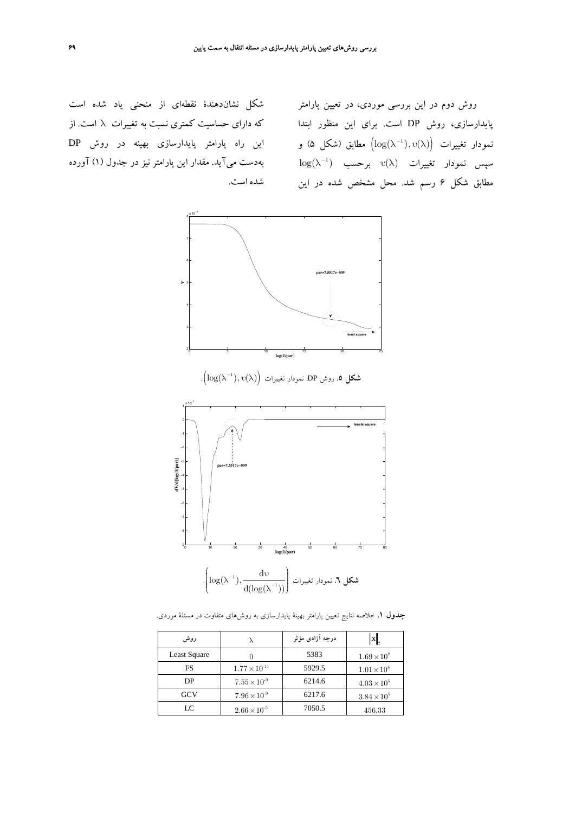شكل نشاندهندة نقطهاي از منحني ياد شده است اين راه پارامتر پايدارسازي بهينه در روش DP بهدست ميآيد. مقدار اين پارامتر نيز در جدول (1) آورده شده است.

روش دوم در اين بررسي موردي، در تعيين پارامتر پايدارسازي، روش DP است. براي اين منظور ابتدا كه داراي حساسيت كمتري نسبت به تغييرات λ است. از نمودار تغييرات  $\big( \log(\lambda^{-1}), \mathrm{u}(\lambda) \big)$  مطابق (شكل ۵) و  $\log(\lambda^{-1})$  سپس نمودار تغييرات  $\mathbb{v}(\lambda)$  برحسب مطابق شكل 6 رسم شد. محل مشخص شده در اين



υλ λ . <sup>−</sup> ( ) ,( )log <sup>1</sup> **شكل .5** روش DP. نمودار تغييرات ( )



**جدول .1** خلاصه نتايج تعيين پارامتر بهينة پايدارسازي به روشهاي متفاوت در مسئلة موردي.

| روش          |                        | درجه آزادی مؤثر | $\mathbb{I}$         |
|--------------|------------------------|-----------------|----------------------|
| Least Square |                        | 5383            | $1.69 \times 10^{8}$ |
| FS           | $1.77 \times 10^{-11}$ | 5929.5          | $1.01 \times 10^{8}$ |
| DP           | $7.55 \times 10^{-9}$  | 6214.6          | $4.03 \times 10^{5}$ |
| <b>GCV</b>   | $7.96 \times 10^{-9}$  | 6217.6          | $3.84 \times 10^{5}$ |
| LC           | $2.66 \times 10^{-5}$  | 7050.5          | 456.33               |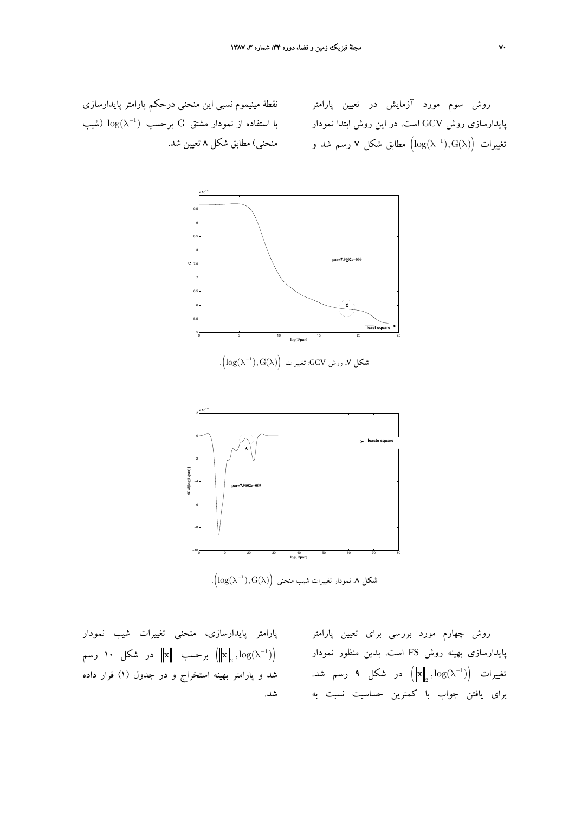نقطة مينيموم نسبي اين منحني درحكم پارامتر پايدارسازي با استفاده از نمودار مشتق  $\mathrm{G}$  برحسب  $\log(\lambda^{-1})$  (شیب منحني) مطابق شكل 8 تعيين شد.

روش سوم مورد آزمايش در تعيين پارامتر پايدارسازي روش GCV است. در اين روش ابتدا نمودار تغییرات  $\bigl(\log(\lambda^{-1}),\operatorname{G}(\lambda)\bigr)$  مطابق شكل ۷ رسم شد و



( ) تغييرات :GCV روش **.7 شكل** <sup>1</sup> log( ),G( ) <sup>−</sup> . λ λ



λ λ . <sup>−</sup>( ) G,( )log <sup>1</sup> **شكل .8** نمودار تغييرات شيب منحني ( )

پارامتر پايدارسازي، منحني تغييرات شيب نمودار برحسب  $\left\| \mathbf{x} \right\|_2$  در شكل ۱۰ رسم  $\left\| \mathbf{x} \right\|_2, \log(\lambda^{-1})$ شد و پارامتر بهينه استخراج و در جدول (1) قرار داده شد.

روش چهارم مورد بررسي براي تعيين پارامتر پايدارسازي بهينه روش FS است. بدين منظور نمودار تغييرات  $\left\| {\bf x} \right\|_2, \log(\lambda^{-1})$  در شكل ۹ رسم شد. براي يافتن جواب با كمترين حساسيت نسبت به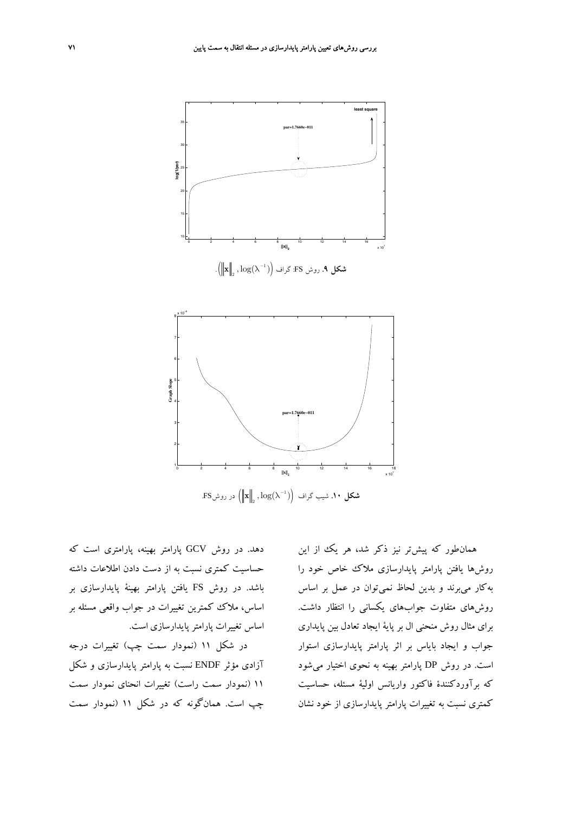



**شكل ۱۰**. شيب گراف  $\left\| \mathbf{x} \right\|_2, \log(\lambda^{-1})$  در روشFS.

دهد. در روش GCV پارامتر بهينه، پارامتري است كه حساسيت كمتري نسبت به از دست دادن اطلاعات داشته باشد. در روش FS يافتن پارامتر بهينة پايدارسازي بر اساس، ملاك كمترين تغييرات در جواب واقعي مسئله بر اساس تغييرات پارامترپايدارسازي است.

در شكل 11 (نمودار سمت چپ) تغييرات درجه آزادي مؤثر ENDF نسبت به پارامتر پايدارسازي و شكل 11 (نمودار سمت راست) تغييرات انحناي نمودار سمت چپ است. همانگونه كه در شكل 11 (نمودار سمت

همانطور كه پيشتر نيز ذكر شد، هر يك از اين روشها يافتن پارامتر پايدارسازي ملاك خاص خود را بهكار ميبرند و بدين لحاظ نميتوان در عمل بر اساس روشهاي متفاوت جوابهاي يكساني را انتظار داشت. براي مثال روش منحني ال بر پاية ايجاد تعادل بين پايداري جواب و ايجاد باياس بر اثر پارامتر پايدارسازي استوار است. در روش DP پارامتر بهينه به نحوي اختيار ميشود كه برآوردكنندة فاكتور واريانس اولية مسئله، حساسيت كمتري نسبت به تغييرات پارامتر پايدارسازي از خود نشان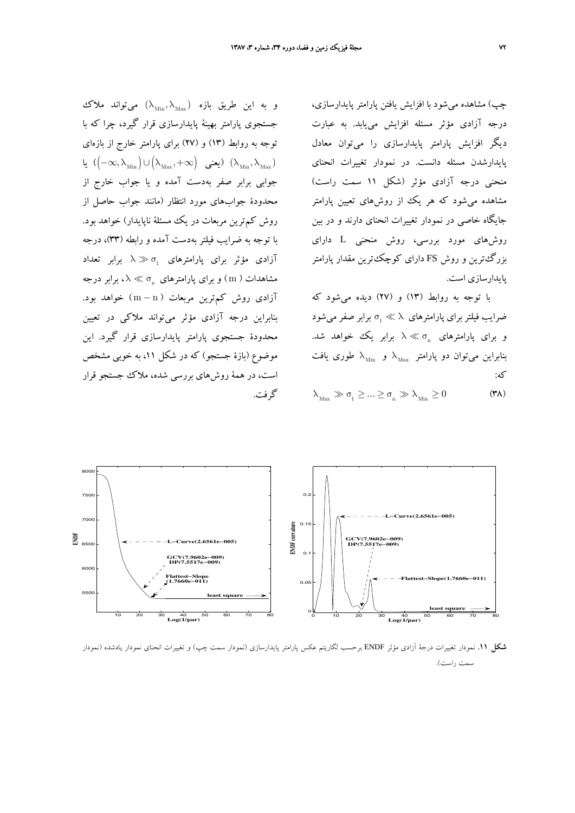چپ) مشاهده ميشود با افزايش يافتن پارامتر پايدارسازي، درجه آزادي مؤثر مسئله افزايش مييابد. به عبارت ديگر افزايش پارامتر پايدارسازي را ميتوان معادل پايدارشدن مسئله دانست. در نمودار تغييرات انحناي منحني درجه آزادي مؤثر (شكل 11 سمت راست) مشاهده ميشود كه هر يك از روشهاي تعيين پارامتر جايگاه خاصي در نمودار تغييرات انحناي دارند و در بين روشهاي مورد بررسي، روش منحني L داراي بزرگترين و روش FS داراي كوچكترين مقدار پارامتر پايدارسازي است.

با توجه به روابط (13) و (27) ديده ميشود كه ضرايب فيلتر براي پارامترهاي  $\lambda \gg \sigma_1 \ll 1$  برابر صفر مي شود و براي يارامترهاي چ $\lambda \ll \sigma_{\rm n}$  برابر پک خواهد شد. بنابراین میتوان دو پارامتر  $\lambda_{\text{Max}}$  و  $\lambda_{\text{Max}}$  طوری یافت كه:

 $\lambda_{\text{Max}} \gg \sigma_1 \geq ... \geq \sigma_n \gg \lambda_{\text{Min}} \geq 0$  (۳۸)





**شكل .11** نمودار تغييرات درجة آزادي مؤثر ENDF برحسب لگاريتم عكس پارامتر پايدارسازي (نمودار سمت چپ) و تغييرات انحناي نمودار يادشده (نمودار سمت راست).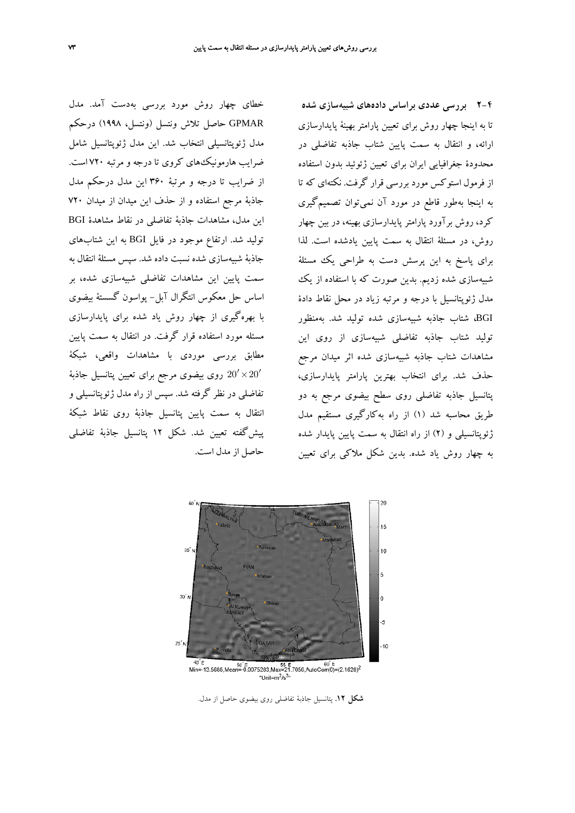خطاي چهار روش مورد بررسي بهدست آمد. مدل GPMAR حاصل تلاش ونتسل (ونتسل، 1998) درحكم مدل ژئوپتانسيلي انتخاب شد. اين مدل ژئوپتانسيل شامل ضرايب هارمونيكهاي كروي تا درجه و مرتبه 720 است. از ضرايب تا درجه و مرتبة 360 اين مدل درحكم مدل جاذبة مرجع استفاده و از حذف اين ميدان از ميدان 720 اين مدل، مشاهدات جاذبة تفاضلي در نقاط مشاهدة BGI توليد شد. ارتفاع موجود در فايل BGI به اين شتابهاي جاذبة شبيهسازي شده نسبت داده شد. سپس مسئلة انتقال به سمت پايين اين مشاهدات تفاضلي شبيهسازي شده، بر اساس حل معكوس انتگرال آبل- پواسون گسستة بيضوي با بهرهگيري از چهار روش ياد شده براي پايدارسازي مسئله مورد استفاده قرار گرفت. در انتقال به سمت پايين مطابق بررسي موردي با مشاهدات واقعي، شبكة روی بيضوی مرجع برای تعيين پتانسيل جاذبهٔ  $20'\times20'$ تفاضلي در نظر گرفته شد. سپس از راه مدل ژئوپتانسيلي و انتقال به سمت پايين پتانسيل جاذبة روي نقاط شبكة پيشگفته تعيين شد. شكل 12 پتانسيل جاذبة تفاضلي حاصل از مدل است.

**2-4 بررسي عددي براساس دادههاي شبيهسازي شده** تا به اينجا چهار روش براي تعيين پارامتر بهينة پايدارسازي ارائه، و انتقال به سمت پايين شتاب جاذبه تفاضلي در محدودة جغرافيايي ايران براي تعيين ژئوئيد بدون استفاده از فرمول استوكس مورد بررسي قرار گرفت. نكتهاي كه تا به اينجا بهطور قاطع در مورد آن نميتوان تصميمگيري كرد، روش برآورد پارامتر پايدارسازي بهينه، در بين چهار روش، در مسئلة انتقال به سمت پايين يادشده است. لذا براي پاسخ به اين پرسش دست به طراحي يك مسئلة شبيهسازي شده زديم. بدين صورت كه با استفاده از يك مدل ژئوپتانسيل با درجه و مرتبه زياد در محل نقاط دادة BGI، شتاب جاذبه شبيهسازي شده توليد شد. بهمنظور توليد شتاب جاذبه تفاضلي شبيهسازي از روي اين مشاهدات شتاب جاذبه شبيهسازي شده اثر ميدان مرجع حذف شد. براي انتخاب بهترين پارامتر پايدارسازي، پتانسيل جاذبه تفاضلي روي سطح بيضوي مرجع به دو طريق محاسبه شد (1) از راه بهكارگيري مستقيم مدل ژئوپتانسيلي و (2) از راه انتقال به سمت پايين پايدار شده به چهار روش ياد شده. بدين شكل ملاكي براي تعيين



**شكل .12** پتانسيل جاذبة تفاضلي روي بيضوي حاصل از مدل.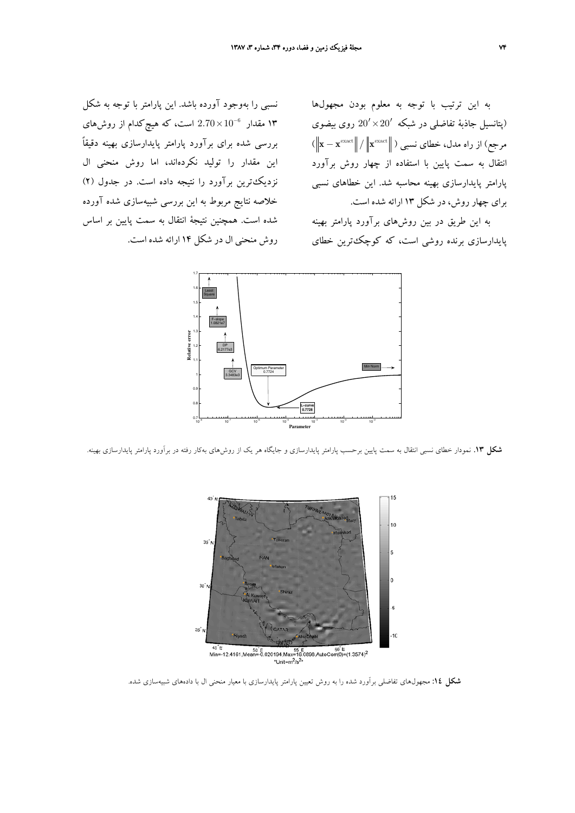به اين ترتيب با توجه به معلوم بودن مجهولها (پتانسيل جاذبة تفاضلي در شبكه × ′ ′ 20 20 روي بيضوي  $\|\mathbf{x}-\mathbf{x}^{\text{exact}}\|/\|\mathbf{x}^{\text{exact}}\|$  مرجع) از راه مدل، خطای نسبی ( انتقال به سمت پايين با استفاده از چهار روش برآورد پارامتر پايدارسازي بهينه محاسبه شد. اين خطاهاي نسبي براي چهار روش، در شكل 13 ارائه شده است.

به اين طريق در بين روشهاي برآورد پارامتر بهينه پايدارسازي برنده روشي است، كه كوچكترين خطاي

نسبي را بهوجود آورده باشد. اين پارامتر با توجه به شكل × است، كه هيچكدام از روشهاي 10<sup>−</sup> 2.70 <sup>6</sup> 13 مقدار بررسي شده براي برآورد پارامتر پايدارسازي بهينه دقيقاً اين مقدار را توليد نكردهاند، اما روش منحني ال نزديكترين برآورد را نتيجه داده است. در جدول (2) خلاصه نتايج مربوط به اين بررسي شبيهسازي شده آورده شده است. همچنين نتيجة انتقال به سمت پايين بر اساس روش منحني ال در شكل 14 ارائه شده است.



**شكل .13** نمودار خطاي نسبي انتقال به سمت پايين برحسب پارامتر پايدارسازي و جايگاه هر يك از روشهاي بهكار رفته در برآورد پارامتر پايدارسازي بهينه.



**شكل :14** مجهولهاي تفاضلي برآورد شده را به روش تعيين پارامتر پايدارسازي با معيار منحني ال با دادههاي شبيهسازي شده.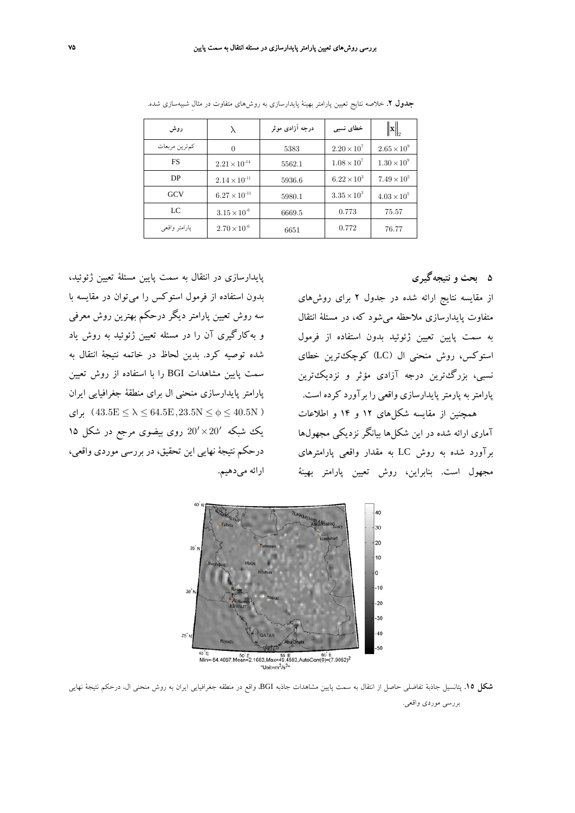| روش           |                        | درجه آزادی موثر | خطای نسبی            | $\ \mathbf{x}\ _{2}$ |
|---------------|------------------------|-----------------|----------------------|----------------------|
| كمترين مربعات | 0                      | 5383            | $2.20 \times 10^{7}$ | $2.65 \times 10^{9}$ |
| <b>FS</b>     | $2.21 \times 10^{-14}$ | 5562.1          | $1.08 \times 10^{7}$ | $1.30 \times 10^{9}$ |
| DP            | $2.14 \times 10^{-11}$ | 5936.6          | $6.22 \times 10^{3}$ | $7.49 \times 10^{5}$ |
| <b>GCV</b>    | $6.27 \times 10^{-11}$ | 5980.1          | $3.35 \times 10^{3}$ | $4.03 \times 10^{5}$ |
| LC            | $3.15 \times 10^{-6}$  | 6669.5          | 0.773                | 75.57                |
| يارامتر واقعى | $2.70 \times 10^{-6}$  | 6651            | 0.772                | 76.77                |

**جدول .2** خلاصه نتايج تعيين پارامتر بهينة پايدارسازي به روشهاي متفاوت در مثالِ شبيهسازي شده.

**5 بحث و نتيجهگيري**

از مقايسه نتايج ارائه شده در جدول 2 براي روشهاي متفاوت پايدارسازي ملاحظه ميشود كه، در مسئلة انتقال به سمت پايين تعيين ژئوئيد بدون استفاده از فرمول استوكس، روش منحني ال (LC) كوچك ترين خطاي نسبي، بزرگترين درجه آزادي مؤثر و نزديكترين پارامتربه پارمترپايدارسازي واقعي را برآورد كرده است. همچنين از مقايسه شكلهاي 12 و 14 و اطلاعات آماري ارائه شده در اين شكلها بيانگر نزديكي مجهولها برآورد شده به روش LC به مقدار واقعي پارامترهاي مجهول است. بنابراين، روش تعيين پارامتر بهينة

پايدارسازي در انتقال به سمت پايين مسئلة تعيين ژئوئيد، بدون استفاده از فرمول استوكس را ميتوان در مقايسه با سه روش تعيين پارامتر ديگر درحكم بهترين روش معرفي و بهكارگيري آن را در مسئله تعيين ژئوئيد به روش ياد شده توصيه كرد. بدين لحاظ در خاتمه نتيجة انتقال به سمت پايين مشاهدات BGI را با استفاده از روش تعيين پارامتر پايدارسازي منحني ال براي منطقة جغرافيايي ايران برای ) 43.5E  $\leq \lambda \leq 64.5$ E (43.5N  $\leq \phi \leq 40.5$ N ) يك شبكه  $20' \times 20'$  روى بيضوى مرجع در شكل ۱۵ درحكم نتيجة نهايي اين تحقيق، در بررسي موردي واقعي، ارائه ميدهيم.



**شكل .15** پتانسيل جاذبة تفاضلي حاصل از انتقال به سمت پايين مشاهدات جاذبه BGI، واقع در منطقه جغرافيايي ايران به روش منحني ال، درحكم نتيجة نهايي بررسي موردي واقعي.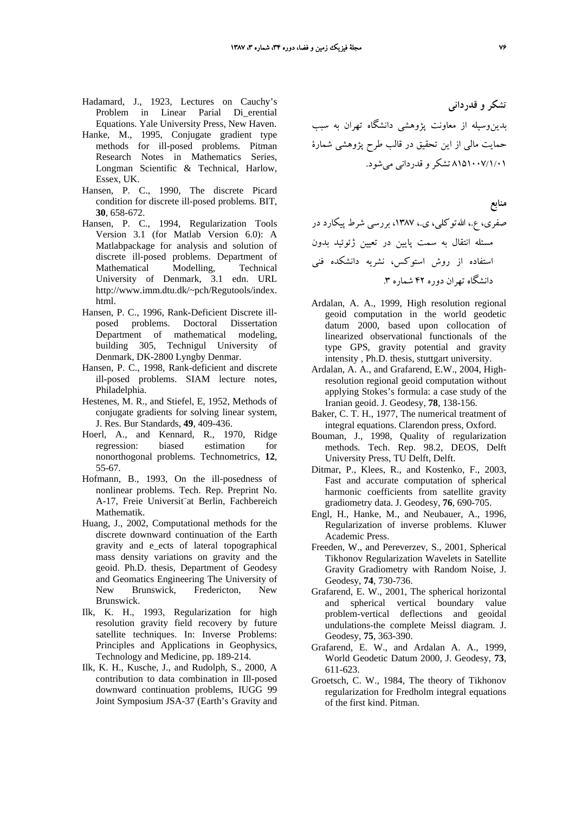- Hadamard, J., 1923, Lectures on Cauchy's Problem in Linear Parial Di\_erential Equations. Yale University Press, New Haven.
- Hanke, M., 1995, Conjugate gradient type methods for ill-posed problems. Pitman Research Notes in Mathematics Series, Longman Scientific & Technical, Harlow, Essex, UK.
- Hansen, P. C., 1990, The discrete Picard condition for discrete ill-posed problems. BIT, **30**, 658-672.
- Hansen, P. C., 1994, Regularization Tools Version 3.1 (for Matlab Version 6.0): A Matlabpackage for analysis and solution of discrete ill-posed problems. Department of Mathematical Modelling, Technical University of Denmark, 3.1 edn. URL http://www.imm.dtu.dk/~pch/Regutools/index. html.
- Hansen, P. C., 1996, Rank-Deficient Discrete illposed problems. Doctoral Dissertation Department of mathematical modeling, building 305, Technigul University of Denmark, DK-2800 Lyngby Denmar.
- Hansen, P. C., 1998, Rank-deficient and discrete ill-posed problems. SIAM lecture notes, Philadelphia.
- Hestenes, M. R., and Stiefel, E, 1952, Methods of conjugate gradients for solving linear system, J. Res. Bur Standards, **49**, 409-436.
- Hoerl, A., and Kennard, R., 1970, Ridge regression: biased estimation for nonorthogonal problems. Technometrics, **12**, 55-67.
- Hofmann, B., 1993, On the ill-posedness of nonlinear problems. Tech. Rep. Preprint No. A-17, Freie Universit¨at Berlin, Fachbereich Mathematik.
- Huang, J., 2002, Computational methods for the discrete downward continuation of the Earth gravity and e\_ects of lateral topographical mass density variations on gravity and the geoid. Ph.D. thesis, Department of Geodesy and Geomatics Engineering The University of New Brunswick, Fredericton, New Brunswick.
- Ilk, K. H., 1993, Regularization for high resolution gravity field recovery by future satellite techniques. In: Inverse Problems: Principles and Applications in Geophysics, Technology and Medicine, pp. 189-214.
- Ilk, K. H., Kusche, J., and Rudolph, S., 2000, A contribution to data combination in Ill-posed downward continuation problems, IUGG 99 Joint Symposium JSA-37 (Earth's Gravity and

**تشكر و قدرداني** بدينوسيله از معاونت پژوهشي دانشگاه تهران به سبب حمايت مالي از اين تحقيق در قالب طرح پژوهشي شمارة 8151007/1/01 تشكرو قدرداني ميشود.

- **منابع** صفري، ع،. االلهتوكلي، ي،. ،1387 بررسي شرط پيكارد در مسئله انتقال به سمت پايين در تعيين ژئوئيد بدون استفاده از روش استوكس، نشريه دانشكده فني دانشگاه تهران دوره 42 شماره .3
- Ardalan, A. A., 1999, High resolution regional geoid computation in the world geodetic datum 2000, based upon collocation of linearized observational functionals of the type GPS, gravity potential and gravity intensity , Ph.D. thesis, stuttgart university.
- Ardalan, A. A., and Grafarend, E.W., 2004, Highresolution regional geoid computation without applying Stokes's formula: a case study of the Iranian geoid. J. Geodesy, **78**, 138-156.
- Baker, C. T. H., 1977, The numerical treatment of integral equations. Clarendon press, Oxford.
- Bouman, J., 1998, Quality of regularization methods. Tech. Rep. 98.2, DEOS, Delft University Press, TU Delft, Delft.
- Ditmar, P., Klees, R., and Kostenko, F., 2003, Fast and accurate computation of spherical harmonic coefficients from satellite gravity gradiometry data. J. Geodesy, **76**, 690-705.
- Engl, H., Hanke, M., and Neubauer, A., 1996, Regularization of inverse problems. Kluwer Academic Press.
- Freeden, W., and Pereverzev, S., 2001, Spherical Tikhonov Regularization Wavelets in Satellite Gravity Gradiometry with Random Noise, J. Geodesy, **74**, 730-736.
- Grafarend, E. W., 2001, The spherical horizontal and spherical vertical boundary value problem-vertical deflections and geoidal undulations-the complete Meissl diagram. J. Geodesy, **75**, 363-390.
- Grafarend, E. W., and Ardalan A. A., 1999, World Geodetic Datum 2000, J. Geodesy, **73**, 611-623.
- Groetsch, C. W., 1984, The theory of Tikhonov regularization for Fredholm integral equations of the first kind. Pitman.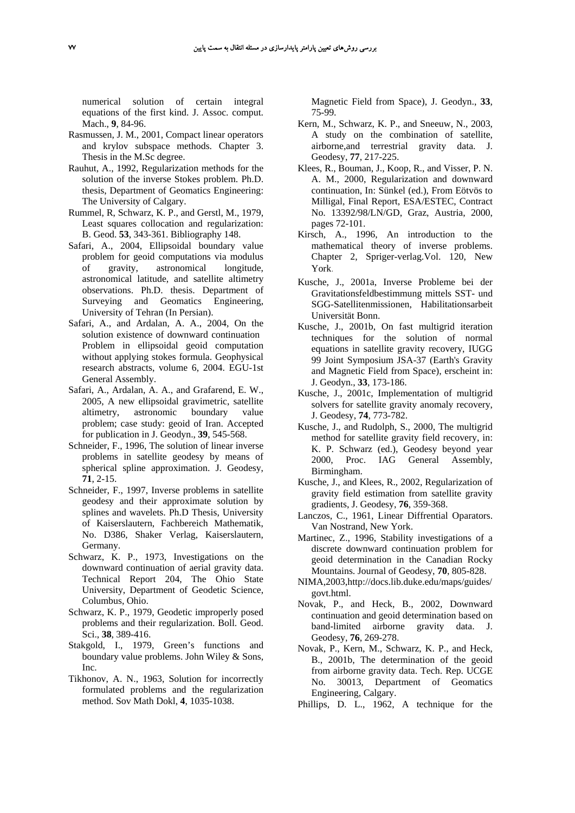numerical solution of certain integral equations of the first kind. J. Assoc. comput. Mach., **9**, 84-96.

- Rasmussen, J. M., 2001, Compact linear operators and krylov subspace methods. Chapter 3. Thesis in the M.Sc degree.
- Rauhut, A., 1992, Regularization methods for the solution of the inverse Stokes problem. Ph.D. thesis, Department of Geomatics Engineering: The University of Calgary.
- Rummel, R, Schwarz, K. P., and Gerstl, M., 1979, Least squares collocation and regularization: B. Geod. **53**, 343-361. Bibliography 148.
- Safari, A., 2004, Ellipsoidal boundary value problem for geoid computations via modulus of gravity, astronomical longitude, astronomical latitude, and satellite altimetry observations. Ph.D. thesis. Department of Surveying and Geomatics Engineering, University of Tehran (In Persian).
- Safari, A., and Ardalan, A. A., 2004, On the solution existence of downward continuation Problem in ellipsoidal geoid computation without applying stokes formula. Geophysical research abstracts, volume 6, 2004. EGU-1st General Assembly.
- Safari, A., Ardalan, A. A., and Grafarend, E. W., 2005, A new ellipsoidal gravimetric, satellite altimetry, astronomic boundary value problem; case study: geoid of Iran. Accepted for publication in J. Geodyn., **39**, 545-568.
- Schneider, F., 1996, The solution of linear inverse problems in satellite geodesy by means of spherical spline approximation. J. Geodesy, **71**, 2-15.
- Schneider, F., 1997, Inverse problems in satellite geodesy and their approximate solution by splines and wavelets. Ph.D Thesis, University of Kaiserslautern, Fachbereich Mathematik, No. D386, Shaker Verlag, Kaiserslautern, Germany.
- Schwarz, K. P., 1973, Investigations on the downward continuation of aerial gravity data. Technical Report 204, The Ohio State University, Department of Geodetic Science, Columbus, Ohio.
- Schwarz, K. P., 1979, Geodetic improperly posed problems and their regularization. Boll. Geod. Sci., **38**, 389-416.
- Stakgold, I., 1979, Green's functions and boundary value problems. John Wiley & Sons, Inc.
- Tikhonov, A. N., 1963, Solution for incorrectly formulated problems and the regularization method. Sov Math Dokl, **4**, 1035-1038.

Magnetic Field from Space), J. Geodyn., **33**, 75-99.

- Kern, M., Schwarz, K. P., and Sneeuw, N., 2003, A study on the combination of satellite, airborne,and terrestrial gravity data. J. Geodesy, **77**, 217-225.
- Klees, R., Bouman, J., Koop, R., and Visser, P. N. A. M., 2000, Regularization and downward continuation, In: Sünkel (ed.), From Eötvös to Milligal, Final Report, ESA/ESTEC, Contract No. 13392/98/LN/GD, Graz, Austria, 2000, pages 72-101.
- Kirsch, A., 1996, An introduction to the mathematical theory of inverse problems. Chapter 2, Spriger-verlag.Vol. 120, New York.
- Kusche, J., 2001a, Inverse Probleme bei der Gravitationsfeldbestimmung mittels SST- und SGG-Satellitenmissionen, Habilitationsarbeit Universität Bonn.
- Kusche, J., 2001b, On fast multigrid iteration techniques for the solution of normal equations in satellite gravity recovery, IUGG 99 Joint Symposium JSA-37 (Earth's Gravity and Magnetic Field from Space), erscheint in: J. Geodyn., **33**, 173-186.
- Kusche, J., 2001c, Implementation of multigrid solvers for satellite gravity anomaly recovery, J. Geodesy, **74**, 773-782.
- Kusche, J., and Rudolph, S., 2000, The multigrid method for satellite gravity field recovery, in: K. P. Schwarz (ed.), Geodesy beyond year 2000, Proc. IAG General Assembly, Birmingham.
- Kusche, J., and Klees, R., 2002, Regularization of gravity field estimation from satellite gravity gradients, J. Geodesy, **76**, 359-368.
- Lanczos, C., 1961, Linear Diffrential Oparators. Van Nostrand, New York.
- Martinec, Z., 1996, Stability investigations of a discrete downward continuation problem for geoid determination in the Canadian Rocky Mountains. Journal of Geodesy, **70**, 805-828.
- NIMA,2003,http://docs.lib.duke.edu/maps/guides/ govt.html.
- Novak, P., and Heck, B., 2002, Downward continuation and geoid determination based on band-limited airborne gravity data. J. Geodesy, **76**, 269-278.
- Novak, P., Kern, M., Schwarz, K. P., and Heck, B., 2001b, The determination of the geoid from airborne gravity data. Tech. Rep. UCGE No. 30013, Department of Geomatics Engineering, Calgary.
- Phillips, D. L., 1962, A technique for the